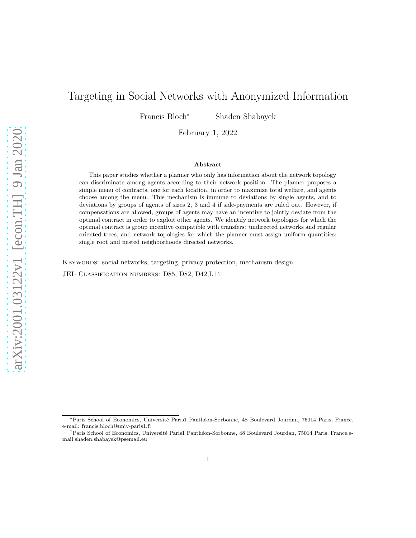# Targeting in Social Networks with Anonymized Information

Francis Bloch<sup>∗</sup> Shaden Shabayek†

February 1, 2022

#### Abstract

This paper studies whether a planner who only has information about the network topology can discriminate among agents according to their network position. The planner proposes a simple menu of contracts, one for each location, in order to maximize total welfare, and agents choose among the menu. This mechanism is immune to deviations by single agents, and to deviations by groups of agents of sizes 2, 3 and 4 if side-payments are ruled out. However, if compensations are allowed, groups of agents may have an incentive to jointly deviate from the optimal contract in order to exploit other agents. We identify network topologies for which the optimal contract is group incentive compatible with transfers: undirected networks and regular oriented trees, and network topologies for which the planner must assign uniform quantities: single root and nested neighborhoods directed networks.

KEYWORDS: social networks, targeting, privacy protection, mechanism design. JEL Classification numbers: D85, D82, D42,L14.

<sup>∗</sup>Paris School of Economics, Universit´e Paris1 Panth´eon-Sorbonne, 48 Boulevard Jourdan, 75014 Paris, France. e-mail: francis.bloch@univ-paris1.fr

<sup>&</sup>lt;sup>†</sup>Paris School of Economics, Université Paris1 Panthéon-Sorbonne, 48 Boulevard Jourdan, 75014 Paris, France.email:shaden.shabayek@psemail.eu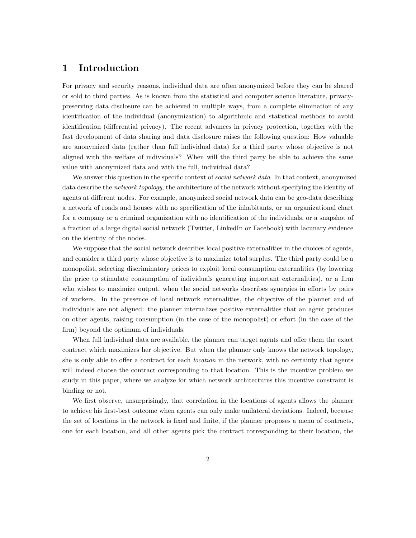## 1 Introduction

For privacy and security reasons, individual data are often anonymized before they can be shared or sold to third parties. As is known from the statistical and computer science literature, privacypreserving data disclosure can be achieved in multiple ways, from a complete elimination of any identification of the individual (anonymization) to algorithmic and statistical methods to avoid identification (differential privacy). The recent advances in privacy protection, together with the fast development of data sharing and data disclosure raises the following question: How valuable are anonymized data (rather than full individual data) for a third party whose objective is not aligned with the welfare of individuals? When will the third party be able to achieve the same value with anonymized data and with the full, individual data?

We answer this question in the specific context of *social network data*. In that context, anonymized data describe the *network topology*, the architecture of the network without specifying the identity of agents at different nodes. For example, anonymized social network data can be geo-data describing a network of roads and houses with no specification of the inhabitants, or an organizational chart for a company or a criminal organization with no identification of the individuals, or a snapshot of a fraction of a large digital social network (Twitter, LinkedIn or Facebook) with lacunary evidence on the identity of the nodes.

We suppose that the social network describes local positive externalities in the choices of agents, and consider a third party whose objective is to maximize total surplus. The third party could be a monopolist, selecting discriminatory prices to exploit local consumption externalities (by lowering the price to stimulate consumption of individuals generating important externalities), or a firm who wishes to maximize output, when the social networks describes synergies in efforts by pairs of workers. In the presence of local network externalities, the objective of the planner and of individuals are not aligned: the planner internalizes positive externalities that an agent produces on other agents, raising consumption (in the case of the monopolist) or effort (in the case of the firm) beyond the optimum of individuals.

When full individual data are available, the planner can target agents and offer them the exact contract which maximizes her objective. But when the planner only knows the network topology, she is only able to offer a contract for each *location* in the network, with no certainty that agents will indeed choose the contract corresponding to that location. This is the incentive problem we study in this paper, where we analyze for which network architectures this incentive constraint is binding or not.

We first observe, unsurprisingly, that correlation in the locations of agents allows the planner to achieve his first-best outcome when agents can only make unilateral deviations. Indeed, because the set of locations in the network is fixed and finite, if the planner proposes a menu of contracts, one for each location, and all other agents pick the contract corresponding to their location, the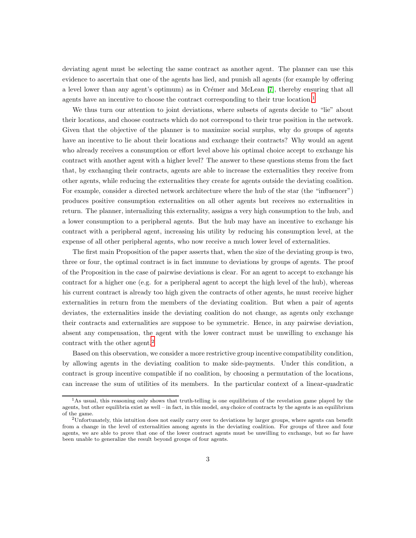deviating agent must be selecting the same contract as another agent. The planner can use this evidence to ascertain that one of the agents has lied, and punish all agents (for example by offering a level lower than any agent's optimum) as in Crémer and McLean [\[7\]](#page-29-0), thereby ensuring that all agents have an incentive to choose the contract corresponding to their true location.<sup>1</sup>

We thus turn our attention to joint deviations, where subsets of agents decide to "lie" about their locations, and choose contracts which do not correspond to their true position in the network. Given that the objective of the planner is to maximize social surplus, why do groups of agents have an incentive to lie about their locations and exchange their contracts? Why would an agent who already receives a consumption or effort level above his optimal choice accept to exchange his contract with another agent with a higher level? The answer to these questions stems from the fact that, by exchanging their contracts, agents are able to increase the externalities they receive from other agents, while reducing the externalities they create for agents outside the deviating coalition. For example, consider a directed network architecture where the hub of the star (the "influencer") produces positive consumption externalities on all other agents but receives no externalities in return. The planner, internalizing this externality, assigns a very high consumption to the hub, and a lower consumption to a peripheral agents. But the hub may have an incentive to exchange his contract with a peripheral agent, increasing his utility by reducing his consumption level, at the expense of all other peripheral agents, who now receive a much lower level of externalities.

The first main Proposition of the paper asserts that, when the size of the deviating group is two, three or four, the optimal contract is in fact immune to deviations by groups of agents. The proof of the Proposition in the case of pairwise deviations is clear. For an agent to accept to exchange his contract for a higher one (e.g. for a peripheral agent to accept the high level of the hub), whereas his current contract is already too high given the contracts of other agents, he must receive higher externalities in return from the members of the deviating coalition. But when a pair of agents deviates, the externalities inside the deviating coalition do not change, as agents only exchange their contracts and externalities are suppose to be symmetric. Hence, in any pairwise deviation, absent any compensation, the agent with the lower contract must be unwilling to exchange his contract with the other agent.<sup>2</sup>

Based on this observation, we consider a more restrictive group incentive compatibility condition, by allowing agents in the deviating coalition to make side-payments. Under this condition, a contract is group incentive compatible if no coalition, by choosing a permutation of the locations, can increase the sum of utilities of its members. In the particular context of a linear-quadratic

<sup>1</sup>As usual, this reasoning only shows that truth-telling is one equilibrium of the revelation game played by the agents, but other equilibria exist as well – in fact, in this model, any choice of contracts by the agents is an equilibrium of the game.

 $2$ Unfortunately, this intuition does not easily carry over to deviations by larger groups, where agents can benefit from a change in the level of externalities among agents in the deviating coalition. For groups of three and four agents, we are able to prove that one of the lower contract agents must be unwilling to exchange, but so far have been unable to generalize the result beyond groups of four agents.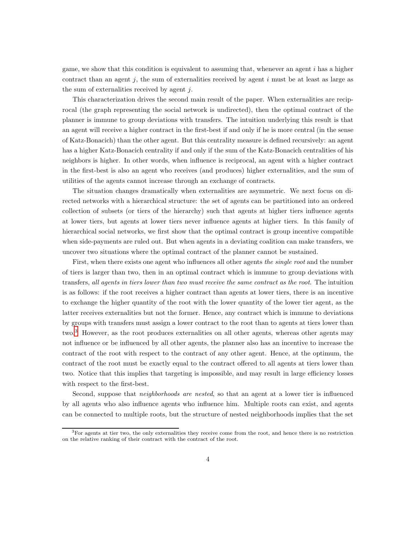game, we show that this condition is equivalent to assuming that, whenever an agent  $i$  has a higher contract than an agent  $j$ , the sum of externalities received by agent  $i$  must be at least as large as the sum of externalities received by agent  $j$ .

This characterization drives the second main result of the paper. When externalities are reciprocal (the graph representing the social network is undirected), then the optimal contract of the planner is immune to group deviations with transfers. The intuition underlying this result is that an agent will receive a higher contract in the first-best if and only if he is more central (in the sense of Katz-Bonacich) than the other agent. But this centrality measure is defined recursively: an agent has a higher Katz-Bonacich centrality if and only if the sum of the Katz-Bonacich centralities of his neighbors is higher. In other words, when influence is reciprocal, an agent with a higher contract in the first-best is also an agent who receives (and produces) higher externalities, and the sum of utilities of the agents cannot increase through an exchange of contracts.

The situation changes dramatically when externalities are asymmetric. We next focus on directed networks with a hierarchical structure: the set of agents can be partitioned into an ordered collection of subsets (or tiers of the hierarchy) such that agents at higher tiers influence agents at lower tiers, but agents at lower tiers never influence agents at higher tiers. In this family of hierarchical social networks, we first show that the optimal contract is group incentive compatible when side-payments are ruled out. But when agents in a deviating coalition can make transfers, we uncover two situations where the optimal contract of the planner cannot be sustained.

First, when there exists one agent who influences all other agents the single root and the number of tiers is larger than two, then in an optimal contract which is immune to group deviations with transfers, all agents in tiers lower than two must receive the same contract as the root. The intuition is as follows: if the root receives a higher contract than agents at lower tiers, there is an incentive to exchange the higher quantity of the root with the lower quantity of the lower tier agent, as the latter receives externalities but not the former. Hence, any contract which is immune to deviations by groups with transfers must assign a lower contract to the root than to agents at tiers lower than two.<sup>3</sup> However, as the root produces externalities on all other agents, whereas other agents may not influence or be influenced by all other agents, the planner also has an incentive to increase the contract of the root with respect to the contract of any other agent. Hence, at the optimum, the contract of the root must be exactly equal to the contract offered to all agents at tiers lower than two. Notice that this implies that targeting is impossible, and may result in large efficiency losses with respect to the first-best.

Second, suppose that *neighborhoods are nested*, so that an agent at a lower tier is influenced by all agents who also influence agents who influence him. Multiple roots can exist, and agents can be connected to multiple roots, but the structure of nested neighborhoods implies that the set

 ${}^{3}$  For agents at tier two, the only externalities they receive come from the root, and hence there is no restriction on the relative ranking of their contract with the contract of the root.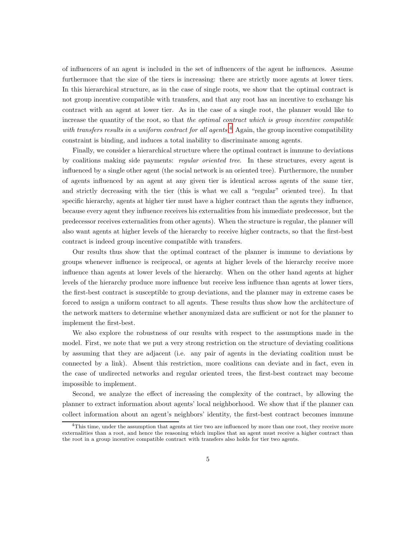of influencers of an agent is included in the set of influencers of the agent he influences. Assume furthermore that the size of the tiers is increasing: there are strictly more agents at lower tiers. In this hierarchical structure, as in the case of single roots, we show that the optimal contract is not group incentive compatible with transfers, and that any root has an incentive to exchange his contract with an agent at lower tier. As in the case of a single root, the planner would like to increase the quantity of the root, so that the optimal contract which is group incentive compatible with transfers results in a uniform contract for all agents.<sup>4</sup> Again, the group incentive compatibility constraint is binding, and induces a total inability to discriminate among agents.

Finally, we consider a hierarchical structure where the optimal contract is immune to deviations by coalitions making side payments: regular oriented tree. In these structures, every agent is influenced by a single other agent (the social network is an oriented tree). Furthermore, the number of agents influenced by an agent at any given tier is identical across agents of the same tier, and strictly decreasing with the tier (this is what we call a "regular" oriented tree). In that specific hierarchy, agents at higher tier must have a higher contract than the agents they influence, because every agent they influence receives his externalities from his immediate predecessor, but the predecessor receives externalities from other agents). When the structure is regular, the planner will also want agents at higher levels of the hierarchy to receive higher contracts, so that the first-best contract is indeed group incentive compatible with transfers.

Our results thus show that the optimal contract of the planner is immune to deviations by groups whenever influence is reciprocal, or agents at higher levels of the hierarchy receive more influence than agents at lower levels of the hierarchy. When on the other hand agents at higher levels of the hierarchy produce more influence but receive less influence than agents at lower tiers, the first-best contract is susceptible to group deviations, and the planner may in extreme cases be forced to assign a uniform contract to all agents. These results thus show how the architecture of the network matters to determine whether anonymized data are sufficient or not for the planner to implement the first-best.

We also explore the robustness of our results with respect to the assumptions made in the model. First, we note that we put a very strong restriction on the structure of deviating coalitions by assuming that they are adjacent (i.e. any pair of agents in the deviating coalition must be connected by a link). Absent this restriction, more coalitions can deviate and in fact, even in the case of undirected networks and regular oriented trees, the first-best contract may become impossible to implement.

Second, we analyze the effect of increasing the complexity of the contract, by allowing the planner to extract information about agents' local neighborhood. We show that if the planner can collect information about an agent's neighbors' identity, the first-best contract becomes immune

<sup>&</sup>lt;sup>4</sup>This time, under the assumption that agents at tier two are influenced by more than one root, they receive more externalities than a root, and hence the reasoning which implies that an agent must receive a higher contract than the root in a group incentive compatible contract with transfers also holds for tier two agents.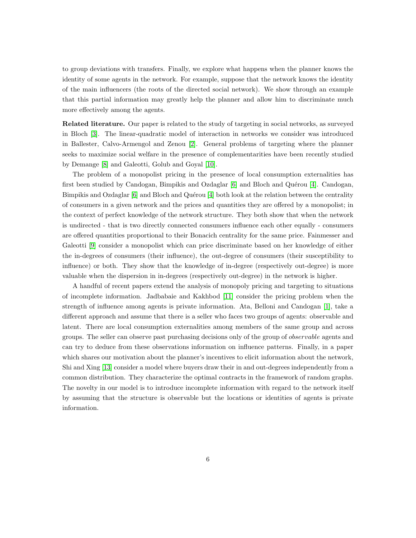to group deviations with transfers. Finally, we explore what happens when the planner knows the identity of some agents in the network. For example, suppose that the network knows the identity of the main influencers (the roots of the directed social network). We show through an example that this partial information may greatly help the planner and allow him to discriminate much more effectively among the agents.

Related literature. Our paper is related to the study of targeting in social networks, as surveyed in Bloch [\[3\]](#page-29-1). The linear-quadratic model of interaction in networks we consider was introduced in Ballester, Calvo-Armengol and Zenou [\[2\]](#page-29-2). General problems of targeting where the planner seeks to maximize social welfare in the presence of complementarities have been recently studied by Demange [\[8\]](#page-29-3) and Galeotti, Golub and Goyal [\[10\]](#page-29-4).

The problem of a monopolist pricing in the presence of local consumption externalities has first been studied by Candogan, Bimpikis and Ozdaglar  $[6]$  and Bloch and Quérou  $[4]$ . Candogan, Bimpikis and Ozdaglar  $[6]$  and Bloch and Quérou  $[4]$  both look at the relation between the centrality of consumers in a given network and the prices and quantities they are offered by a monopolist; in the context of perfect knowledge of the network structure. They both show that when the network is undirected - that is two directly connected consumers influence each other equally - consumers are offered quantities proportional to their Bonacich centrality for the same price. Fainmesser and Galeotti [\[9\]](#page-29-7) consider a monopolist which can price discriminate based on her knowledge of either the in-degrees of consumers (their influence), the out-degree of consumers (their susceptibility to influence) or both. They show that the knowledge of in-degree (respectively out-degree) is more valuable when the dispersion in in-degrees (respectively out-degree) in the network is higher.

A handful of recent papers extend the analysis of monopoly pricing and targeting to situations of incomplete information. Jadbabaie and Kakhbod [\[11\]](#page-29-8) consider the pricing problem when the strength of influence among agents is private information. Ata, Belloni and Candogan [\[1\]](#page-29-9), take a different approach and assume that there is a seller who faces two groups of agents: observable and latent. There are local consumption externalities among members of the same group and across groups. The seller can observe past purchasing decisions only of the group of observable agents and can try to deduce from these observations information on influence patterns. Finally, in a paper which shares our motivation about the planner's incentives to elicit information about the network, Shi and Xing [\[13\]](#page-29-10) consider a model where buyers draw their in and out-degrees independently from a common distribution. They characterize the optimal contracts in the framework of random graphs. The novelty in our model is to introduce incomplete information with regard to the network itself by assuming that the structure is observable but the locations or identities of agents is private information.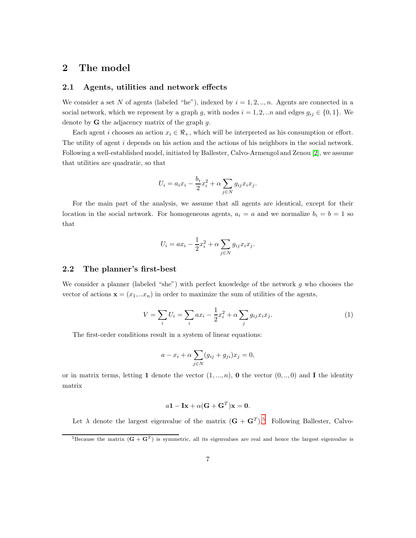## 2 The model

## 2.1 Agents, utilities and network effects

We consider a set N of agents (labeled "he"), indexed by  $i = 1, 2, ..., n$ . Agents are connected in a social network, which we represent by a graph g, with nodes  $i = 1, 2, ...n$  and edges  $g_{ij} \in \{0, 1\}$ . We denote by  $G$  the adjacency matrix of the graph  $g$ .

Each agent i chooses an action  $x_i \in \mathcal{R}_+$ , which will be interpreted as his consumption or effort. The utility of agent i depends on his action and the actions of his neighbors in the social network. Following a well-established model, initiated by Ballester, Calvo-Armengol and Zenou [\[2\]](#page-29-2), we assume that utilities are quadratic, so that

$$
U_i = a_i x_i - \frac{b_i}{2} x_i^2 + \alpha \sum_{j \in N} g_{ij} x_i x_j.
$$

For the main part of the analysis, we assume that all agents are identical, except for their location in the social network. For homogeneous agents,  $a_i = a$  and we normalize  $b_i = b = 1$  so that

$$
U_i = ax_i - \frac{1}{2}x_i^2 + \alpha \sum_{j \in N} g_{ij}x_ix_j.
$$

#### 2.2 The planner's first-best

We consider a planner (labeled "she") with perfect knowledge of the network  $g$  who chooses the vector of actions  $\mathbf{x} = (x_1, ... x_n)$  in order to maximize the sum of utilities of the agents,

<span id="page-6-0"></span>
$$
V = \sum_{i} U_i = \sum_{i} ax_i - \frac{1}{2}x_i^2 + \alpha \sum_{j} g_{ij} x_i x_j.
$$
 (1)

The first-order conditions result in a system of linear equations:

$$
a - x_i + \alpha \sum_{j \in N} (g_{ij} + g_{ji}) x_j = 0,
$$

or in matrix terms, letting 1 denote the vector  $(1, ..., n)$ , 0 the vector  $(0, ..., 0)$  and I the identity matrix

$$
a\mathbf{1} - \mathbf{I}\mathbf{x} + \alpha(\mathbf{G} + \mathbf{G}^T)\mathbf{x} = \mathbf{0}.
$$

Let  $\lambda$  denote the largest eigenvalue of the matrix  $(\mathbf{G} + \mathbf{G}^T)^5$ . Following Ballester, Calvo-

<sup>&</sup>lt;sup>5</sup>Because the matrix  $(G + G<sup>T</sup>)$  is symmetric, all its eigenvalues are real and hence the largest eigenvalue is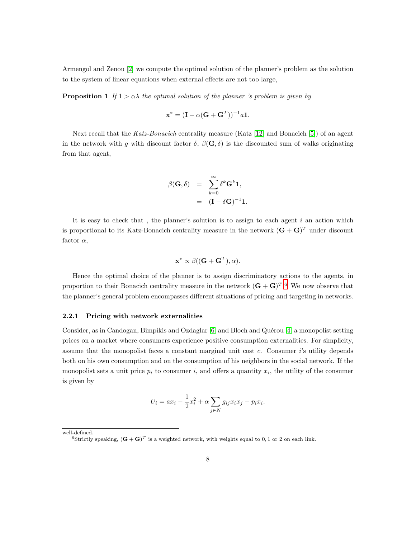<span id="page-7-0"></span>Armengol and Zenou [\[2\]](#page-29-2) we compute the optimal solution of the planner's problem as the solution to the system of linear equations when external effects are not too large,

**Proposition 1** If  $1 > \alpha \lambda$  the optimal solution of the planner 's problem is given by

$$
\mathbf{x}^* = (\mathbf{I} - \alpha(\mathbf{G} + \mathbf{G}^T))^{-1} a \mathbf{1}.
$$

Next recall that the Katz-Bonacich centrality measure (Katz [\[12\]](#page-29-11) and Bonacich [\[5\]](#page-29-12)) of an agent in the network with q with discount factor  $\delta$ ,  $\beta(\mathbf{G}, \delta)$  is the discounted sum of walks originating from that agent,

$$
\beta(\mathbf{G}, \delta) = \sum_{k=0}^{\infty} \delta^k \mathbf{G}^k \mathbf{1},
$$
  
=  $(\mathbf{I} - \delta \mathbf{G})^{-1} \mathbf{1}.$ 

It is easy to check that, the planner's solution is to assign to each agent  $i$  an action which is proportional to its Katz-Bonacich centrality measure in the network  $(\mathbf{G} + \mathbf{G})^T$  under discount factor  $\alpha$ ,

$$
\mathbf{x}^* \propto \beta((\mathbf{G} + \mathbf{G}^T), \alpha).
$$

Hence the optimal choice of the planner is to assign discriminatory actions to the agents, in proportion to their Bonacich centrality measure in the network  $(G + G)^{T}$ .<sup>6</sup> We now observe that the planner's general problem encompasses different situations of pricing and targeting in networks.

#### 2.2.1 Pricing with network externalities

Consider, as in Candogan, Bimpikis and Ozdaglar [\[6\]](#page-29-5) and Bloch and Quérou [\[4\]](#page-29-6) a monopolist setting prices on a market where consumers experience positive consumption externalities. For simplicity, assume that the monopolist faces a constant marginal unit cost  $c$ . Consumer  $i$ 's utility depends both on his own consumption and on the consumption of his neighbors in the social network. If the monopolist sets a unit price  $p_i$  to consumer i, and offers a quantity  $x_i$ , the utility of the consumer is given by

$$
U_i = ax_i - \frac{1}{2}x_i^2 + \alpha \sum_{j \in N} g_{ij}x_ix_j - p_ix_i.
$$

well-defined.

<sup>&</sup>lt;sup>6</sup>Strictly speaking,  $(\mathbf{G} + \mathbf{G})^T$  is a weighted network, with weights equal to 0, 1 or 2 on each link.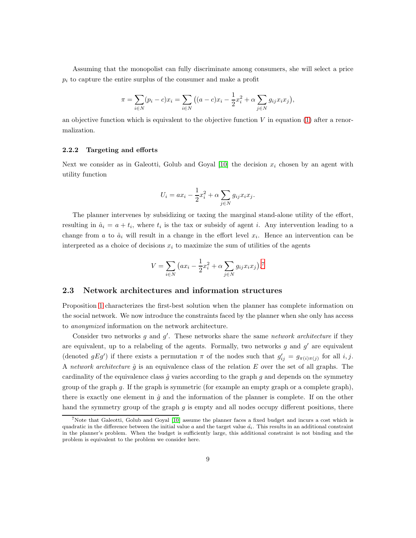Assuming that the monopolist can fully discriminate among consumers, she will select a price  $p_i$  to capture the entire surplus of the consumer and make a profit

$$
\pi = \sum_{i \in N} (p_i - c)x_i = \sum_{i \in N} ((a - c)x_i - \frac{1}{2}x_i^2 + \alpha \sum_{j \in N} g_{ij}x_ix_j),
$$

an objective function which is equivalent to the objective function  $V$  in equation [\(1\)](#page-6-0) after a renormalization.

#### 2.2.2 Targeting and efforts

Next we consider as in Galeotti, Golub and Goyal [\[10\]](#page-29-4) the decision  $x_i$  chosen by an agent with utility function

$$
U_i = ax_i - \frac{1}{2}x_i^2 + \alpha \sum_{j \in N} g_{ij}x_ix_j.
$$

The planner intervenes by subsidizing or taxing the marginal stand-alone utility of the effort, resulting in  $\hat{a}_i = a + t_i$ , where  $t_i$  is the tax or subsidy of agent i. Any intervention leading to a change from a to  $\hat{a}_i$  will result in a change in the effort level  $x_i$ . Hence an intervention can be interpreted as a choice of decisions  $x_i$  to maximize the sum of utilities of the agents

$$
V = \sum_{i \in N} (ax_i - \frac{1}{2}x_i^2 + \alpha \sum_{j \in N} g_{ij}x_i x_j).
$$
<sup>7</sup>

## 2.3 Network architectures and information structures

Proposition [1](#page-7-0) characterizes the first-best solution when the planner has complete information on the social network. We now introduce the constraints faced by the planner when she only has access to anonymized information on the network architecture.

Consider two networks g and  $g'$ . These networks share the same network architecture if they are equivalent, up to a relabeling of the agents. Formally, two networks  $g$  and  $g'$  are equivalent (denoted  $gEg'$ ) if there exists a permutation  $\pi$  of the nodes such that  $g'_{ij} = g_{\pi(i)\pi(j)}$  for all i, j. A network architecture  $\hat{g}$  is an equivalence class of the relation E over the set of all graphs. The cardinality of the equivalence class  $\hat{g}$  varies according to the graph g and depends on the symmetry group of the graph g. If the graph is symmetric (for example an empty graph or a complete graph), there is exactly one element in  $\hat{g}$  and the information of the planner is complete. If on the other hand the symmetry group of the graph  $g$  is empty and all nodes occupy different positions, there

<sup>7</sup>Note that Galeotti, Golub and Goyal [\[10\]](#page-29-4) assume the planner faces a fixed budget and incurs a cost which is quadratic in the difference between the initial value  $a$  and the target value  $\hat{a_i}$ . This results in an additional constraint in the planner's problem. When the budget is sufficiently large, this additional constraint is not binding and the problem is equivalent to the problem we consider here.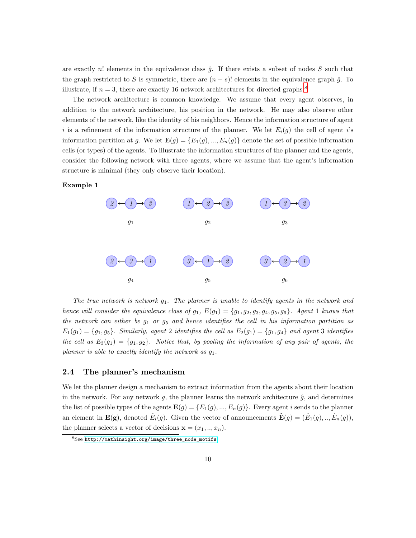are exactly n! elements in the equivalence class  $\hat{g}$ . If there exists a subset of nodes S such that the graph restricted to S is symmetric, there are  $(n - s)!$  elements in the equivalence graph  $\hat{g}$ . To illustrate, if  $n = 3$ , there are exactly 16 network architectures for directed graphs.<sup>8</sup>

The network architecture is common knowledge. We assume that every agent observes, in addition to the network architecture, his position in the network. He may also observe other elements of the network, like the identity of his neighbors. Hence the information structure of agent i is a refinement of the information structure of the planner. We let  $E_i(g)$  the cell of agent i's information partition at g. We let  $\mathbf{E}(g) = \{E_1(g),...,E_n(g)\}\$  denote the set of possible information cells (or types) of the agents. To illustrate the information structures of the planner and the agents, consider the following network with three agents, where we assume that the agent's information structure is minimal (they only observe their location).

<span id="page-9-0"></span>Example 1



The true network is network  $g_1$ . The planner is unable to identify agents in the network and hence will consider the equivalence class of  $g_1$ ,  $E(g_1) = \{g_1, g_2, g_3, g_4, g_5, g_6\}$ . Agent 1 knows that the network can either be  $g_1$  or  $g_5$  and hence identifies the cell in his information partition as  $E_1(g_1) = \{g_1, g_5\}.$  Similarly, agent 2 identifies the cell as  $E_2(g_1) = \{g_1, g_4\}$  and agent 3 identifies the cell as  $E_3(g_1) = \{g_1, g_2\}$ . Notice that, by pooling the information of any pair of agents, the planner is able to exactly identify the network as  $g_1$ .

### 2.4 The planner's mechanism

We let the planner design a mechanism to extract information from the agents about their location in the network. For any network  $g$ , the planner learns the network architecture  $\hat{g}$ , and determines the list of possible types of the agents  $\mathbf{E}(g) = \{E_1(g),..., E_n(g)\}\.$  Every agent i sends to the planner an element in  $\mathbf{E}(\mathbf{g})$ , denoted  $\hat{E}_i(g)$ . Given the vector of announcements  $\mathbf{\hat{E}}(g) = (\hat{E}_1(g),..,\hat{E}_n(g)),$ the planner selects a vector of decisions  $\mathbf{x} = (x_1, ..., x_n)$ .

 $8$ See [http://mathinsight.org/image/three\\_node\\_motifs](http://mathinsight.org/image/three_node_motifs).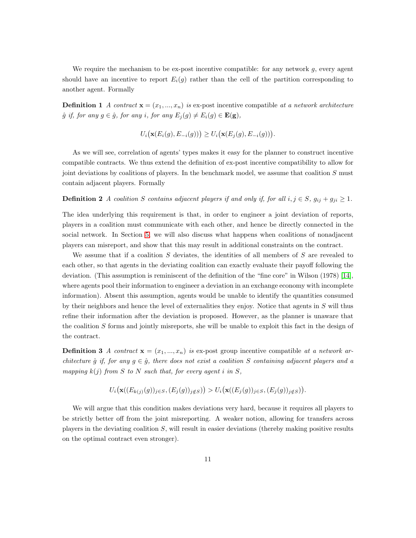We require the mechanism to be ex-post incentive compatible: for any network  $g$ , every agent should have an incentive to report  $E_i(g)$  rather than the cell of the partition corresponding to another agent. Formally

**Definition 1** A contract  $\mathbf{x} = (x_1, ..., x_n)$  is ex-post incentive compatible at a network architecture  $\hat{g}$  if, for any  $g \in \hat{g}$ , for any i, for any  $E_j(g) \neq E_i(g) \in \mathbf{E}(\mathbf{g}),$ 

$$
U_i\big(\mathbf{x}(E_i(g), E_{-i}(g))\big) \geq U_i\big(\mathbf{x}(E_j(g), E_{-i}(g))\big).
$$

As we will see, correlation of agents' types makes it easy for the planner to construct incentive compatible contracts. We thus extend the definition of ex-post incentive compatibility to allow for joint deviations by coalitions of players. In the benchmark model, we assume that coalition S must contain adjacent players. Formally

**Definition 2** A coalition S contains adjacent players if and only if, for all  $i, j \in S$ ,  $g_{ij} + g_{ji} \ge 1$ .

The idea underlying this requirement is that, in order to engineer a joint deviation of reports, players in a coalition must communicate with each other, and hence be directly connected in the social network. In Section [5,](#page-25-0) we will also discuss what happens when coalitions of nonadjacent players can misreport, and show that this may result in additional constraints on the contract.

We assume that if a coalition  $S$  deviates, the identities of all members of  $S$  are revealed to each other, so that agents in the deviating coalition can exactly evaluate their payoff following the deviation. (This assumption is reminiscent of the definition of the "fine core" in Wilson (1978) [\[14\]](#page-29-13), where agents pool their information to engineer a deviation in an exchange economy with incomplete information). Absent this assumption, agents would be unable to identify the quantities consumed by their neighbors and hence the level of externalities they enjoy. Notice that agents in  $S$  will thus refine their information after the deviation is proposed. However, as the planner is unaware that the coalition S forms and jointly misreports, she will be unable to exploit this fact in the design of the contract.

**Definition 3** A contract  $\mathbf{x} = (x_1, ..., x_n)$  is ex-post group incentive compatible at a network architecture  $\hat{g}$  if, for any  $g \in \hat{g}$ , there does not exist a coalition S containing adjacent players and a mapping  $k(j)$  from S to N such that, for every agent i in S,

$$
U_i\big(\mathbf{x}((E_{k(j)}(g))_{j\in S},(E_j(g))_{j\notin S})\big) > U_i\big(\mathbf{x}((E_j(g))_{j\in S},(E_j(g))_{j\notin S})\big).
$$

We will argue that this condition makes deviations very hard, because it requires all players to be strictly better off from the joint misreporting. A weaker notion, allowing for transfers across players in the deviating coalition  $S$ , will result in easier deviations (thereby making positive results on the optimal contract even stronger).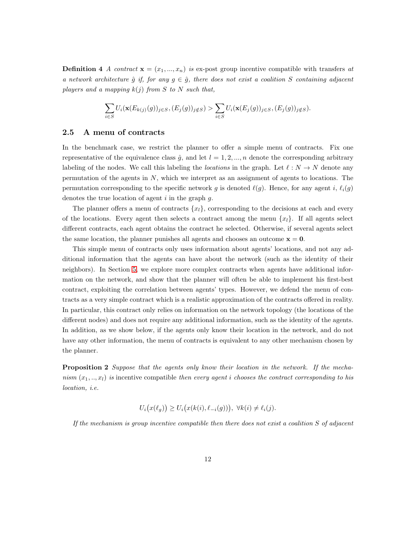**Definition 4** A contract  $\mathbf{x} = (x_1, ..., x_n)$  is ex-post group incentive compatible with transfers at a network architecture  $\hat{g}$  if, for any  $g \in \hat{g}$ , there does not exist a coalition S containing adjacent players and a mapping  $k(j)$  from S to N such that,

$$
\sum_{i\in S} U_i(\mathbf{x}(E_{k(j)}(g))_{j\in S}, (E_j(g))_{j\notin S}) > \sum_{i\in S} U_i(\mathbf{x}(E_j(g))_{j\in S}, (E_j(g))_{j\notin S}).
$$

### 2.5 A menu of contracts

In the benchmark case, we restrict the planner to offer a simple menu of contracts. Fix one representative of the equivalence class  $\hat{q}$ , and let  $l = 1, 2, ..., n$  denote the corresponding arbitrary labeling of the nodes. We call this labeling the *locations* in the graph. Let  $\ell : N \to N$  denote any permutation of the agents in  $N$ , which we interpret as an assignment of agents to locations. The permutation corresponding to the specific network g is denoted  $\ell(q)$ . Hence, for any agent i,  $\ell_i(q)$ denotes the true location of agent  $i$  in the graph  $g$ .

The planner offers a menu of contracts  $\{x_l\}$ , corresponding to the decisions at each and every of the locations. Every agent then selects a contract among the menu  $\{x_l\}$ . If all agents select different contracts, each agent obtains the contract he selected. Otherwise, if several agents select the same location, the planner punishes all agents and chooses an outcome  $x = 0$ .

This simple menu of contracts only uses information about agents' locations, and not any additional information that the agents can have about the network (such as the identity of their neighbors). In Section [5,](#page-25-0) we explore more complex contracts when agents have additional information on the network, and show that the planner will often be able to implement his first-best contract, exploiting the correlation between agents' types. However, we defend the menu of contracts as a very simple contract which is a realistic approximation of the contracts offered in reality. In particular, this contract only relies on information on the network topology (the locations of the different nodes) and does not require any additional information, such as the identity of the agents. In addition, as we show below, if the agents only know their location in the network, and do not have any other information, the menu of contracts is equivalent to any other mechanism chosen by the planner.

<span id="page-11-0"></span>**Proposition 2** Suppose that the agents only know their location in the network. If the mechanism  $(x_1, ..., x_l)$  is incentive compatible then every agent i chooses the contract corresponding to his location, i.e.

$$
U_i(x(\ell_g)) \ge U_i(x(k(i), \ell_{-i}(g))), \ \forall k(i) \ne \ell_i(j).
$$

If the mechanism is group incentive compatible then there does not exist a coalition  $S$  of adjacent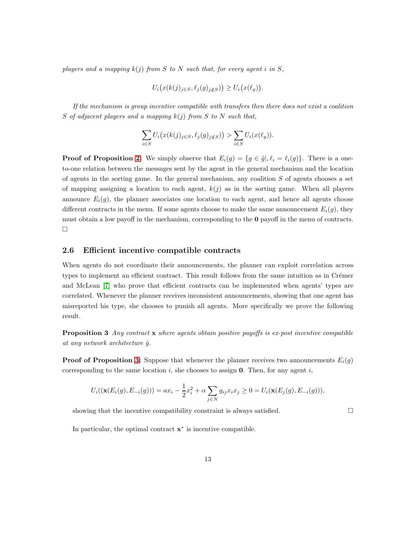players and a mapping  $k(j)$  from S to N such that, for every agent i in S,

$$
U_i\big(x(k(j)_{j\in S},\ell_j(g)_{j\notin S})\big) \ge U_i\big(x(\ell_g)\big).
$$

If the mechanism is group incentive compatible with transfers then there does not exist a coalition S of adjacent players and a mapping  $k(i)$  from S to N such that,

$$
\sum_{i \in S} U_i\big(x(k(j)_{j \in S}, \ell_j(g)_{j \notin S})\big) > \sum_{i \in S} U_i(x(\ell_g)).
$$

**Proof of Proposition [2:](#page-11-0)** We simply observe that  $E_i(g) = \{g \in \hat{g} | \ell_i = \ell_i(g)\}\$ . There is a oneto-one relation between the messages sent by the agent in the general mechanism and the location of agents in the sorting game. In the general mechanism, any coalition  $S$  of agents chooses a set of mapping assigning a location to each agent,  $k(j)$  as in the sorting game. When all players announce  $E_i(g)$ , the planner associates one location to each agent, and hence all agents choose different contracts in the menu. If some agents choose to make the same announcement  $E_i(g)$ , they must obtain a low payoff in the mechanism, corresponding to the 0 payoff in the menu of contracts.  $\Box$ 

### 2.6 Efficient incentive compatible contracts

When agents do not coordinate their announcements, the planner can exploit correlation across types to implement an efficient contract. This result follows from the same intuition as in Crémer and McLean [\[7\]](#page-29-0) who prove that efficient contracts can be implemented when agents' types are correlated. Whenever the planner receives inconsistent announcements, showing that one agent has misreported his type, she chooses to punish all agents. More specifically we prove the following result.

<span id="page-12-0"></span>**Proposition 3** Any contract  $\bf{x}$  where agents obtain positive payoffs is ex-post incentive compatible at any network architecture  $\hat{g}$ .

**Proof of Proposition [3:](#page-12-0)** Suppose that whenever the planner receives two announcements  $E_i(g)$ corresponding to the same location  $i$ , she chooses to assign 0. Then, for any agent  $i$ ,

$$
U_i((\mathbf{x}(E_i(g), E_{-i}(g))) = ax_i - \frac{1}{2}x_i^2 + \alpha \sum_{j \in N} g_{ij}x_ix_j \ge 0 = U_i(\mathbf{x}(E_j(g), E_{-i}(g))),
$$

showing that the incentive compatibility constraint is always satisfied.  $\Box$ 

In particular, the optimal contract  $\mathbf{x}^*$  is incentive compatible.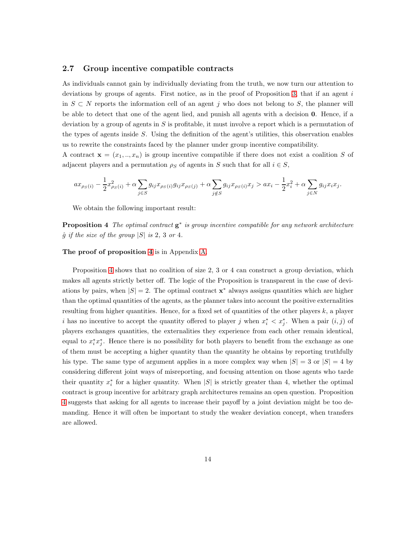### 2.7 Group incentive compatible contracts

As individuals cannot gain by individually deviating from the truth, we now turn our attention to deviations by groups of agents. First notice, as in the proof of Proposition [3,](#page-12-0) that if an agent i in  $S \subset N$  reports the information cell of an agent j who does not belong to S, the planner will be able to detect that one of the agent lied, and punish all agents with a decision 0. Hence, if a deviation by a group of agents in  $S$  is profitable, it must involve a report which is a permutation of the types of agents inside  $S$ . Using the definition of the agent's utilities, this observation enables us to rewrite the constraints faced by the planner under group incentive compatibility.

A contract  $\mathbf{x} = (x_1, ..., x_n)$  is group incentive compatible if there does not exist a coalition S of adjacent players and a permutation  $\rho_S$  of agents in S such that for all  $i \in S$ ,

$$
ax_{\rho_S(i)} - \frac{1}{2}x_{\rho_S(i)}^2 + \alpha \sum_{j \in S} g_{ij}x_{\rho_S(i)}g_{ij}x_{\rho_S(j)} + \alpha \sum_{j \notin S} g_{ij}x_{\rho_S(i)}x_j > ax_i - \frac{1}{2}x_i^2 + \alpha \sum_{j \in N} g_{ij}x_ix_j.
$$

<span id="page-13-0"></span>We obtain the following important result:

**Proposition 4** The optimal contract  $g^*$  is group incentive compatible for any network architecture  $\hat{g}$  if the size of the group  $|S|$  is 2, 3 or 4.

#### The proof of proposition [4](#page-13-0) is in Appendix [A.](#page-30-0)

Proposition [4](#page-13-0) shows that no coalition of size 2, 3 or 4 can construct a group deviation, which makes all agents strictly better off. The logic of the Proposition is transparent in the case of deviations by pairs, when  $|S| = 2$ . The optimal contract  $\mathbf{x}^*$  always assigns quantities which are higher than the optimal quantities of the agents, as the planner takes into account the positive externalities resulting from higher quantities. Hence, for a fixed set of quantities of the other players k, a player *i* has no incentive to accept the quantity offered to player j when  $x_i^* \lt x_j^*$ . When a pair  $(i, j)$  of players exchanges quantities, the externalities they experience from each other remain identical, equal to  $x_i^* x_j^*$ . Hence there is no possibility for both players to benefit from the exchange as one of them must be accepting a higher quantity than the quantity he obtains by reporting truthfully his type. The same type of argument applies in a more complex way when  $|S| = 3$  or  $|S| = 4$  by considering different joint ways of misreporting, and focusing attention on those agents who tarde their quantity  $x_i^*$  for a higher quantity. When  $|S|$  is strictly greater than 4, whether the optimal contract is group incentive for arbitrary graph architectures remains an open question. Proposition [4](#page-13-0) suggests that asking for all agents to increase their payoff by a joint deviation might be too demanding. Hence it will often be important to study the weaker deviation concept, when transfers are allowed.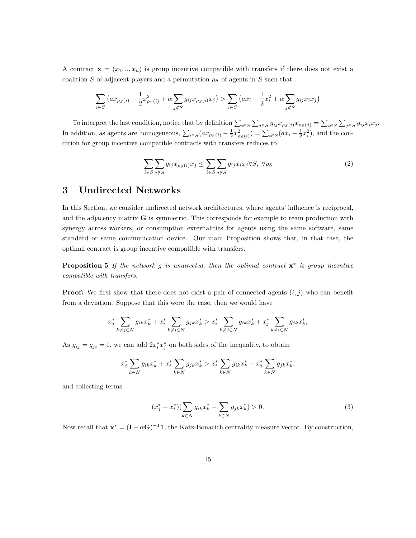A contract  $\mathbf{x} = (x_1, ..., x_n)$  is group incentive compatible with transfers if there does not exist a coalition S of adjacent players and a permutation  $\rho_S$  of agents in S such that

$$
\sum_{i \in S} \left( ax_{\rho_S(i)} - \frac{1}{2} x_{\rho_S(i)}^2 + \alpha \sum_{j \notin S} g_{ij} x_{\rho_S(i)} x_j \right) > \sum_{i \in S} \left( ax_i - \frac{1}{2} x_i^2 + \alpha \sum_{j \notin S} g_{ij} x_i x_j \right)
$$

To interpret the last condition, notice that by definition  $\sum_{i \in S} \sum_{j \in S} g_{ij} x_{\rho S}(i)} x_{\rho S}(j)} = \sum_{i \in S} \sum_{j \in S} g_{ij} x_i x_j$ . In addition, as agents are homogeneous,  $\sum_{i \in S} (ax_{\rho_S(i)} - \frac{1}{2}x_{\rho_S(i)}^2) = \sum_{i \in S} (ax_i - \frac{1}{2}x_i^2)$ , and the condition for group incentive compatible contracts with transfers reduces to

$$
\sum_{i \in S} \sum_{j \notin S} g_{ij} x_{\rho_S(i)} x_j \le \sum_{i \in S} \sum_{j \notin S} g_{ij} x_i x_j \forall S, \ \forall \rho_S
$$
\n
$$
(2)
$$

## 3 Undirected Networks

In this Section, we consider undirected network architectures, where agents' influence is reciprocal, and the adjacency matrix G is symmetric. This corresponds for example to team production with synergy across workers, or consumption externalities for agents using the same software, same standard or same communication device. Our main Proposition shows that, in that case, the optimal contract is group incentive compatible with transfers.

<span id="page-14-1"></span>**Proposition 5** If the network g is undirected, then the optimal contract  $\mathbf{x}^*$  is group incentive compatible with transfers.

**Proof:** We first show that there does not exist a pair of connected agents  $(i, j)$  who can benefit from a deviation. Suppose that this were the case, then we would have

$$
x_j^* \sum_{k \neq j \in N} g_{ik} x_k^* + x_i^* \sum_{k \neq i \in N} g_{jk} x_k^* > x_i^* \sum_{k \neq j \in N} g_{ik} x_k^* + x_j^* \sum_{k \neq i \in N} g_{jk} x_k^*,
$$

As  $g_{ij} = g_{ji} = 1$ , we can add  $2x_i^*x_j^*$  on both sides of the inequality, to obtain

$$
x_j^* \sum_{k \in N} g_{ik} x_k^* + x_i^* \sum_{k \in N} g_{jk} x_k^* > x_i^* \sum_{k \in N} g_{ik} x_k^* + x_j^* \sum_{k \in N} g_{jk} x_k^*,
$$

and collecting terms

<span id="page-14-0"></span>
$$
(x_j^* - x_i^*)(\sum_{k \in N} g_{ik} x_k^* - \sum_{k \in N} g_{jk} x_k^*) > 0.
$$
 (3)

Now recall that  $\mathbf{x}^* = (\mathbf{I} - \alpha \mathbf{G})^{-1} \mathbf{1}$ , the Katz-Bonacich centrality measure vector. By construction,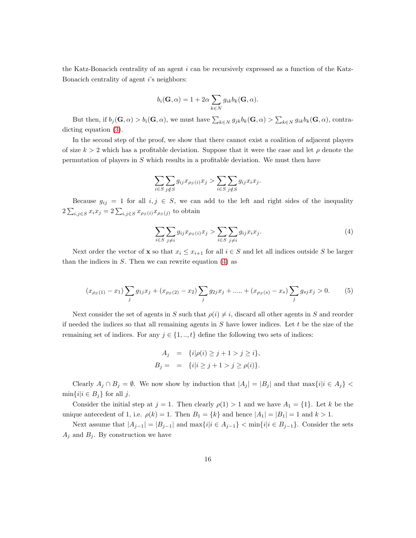the Katz-Bonacich centrality of an agent  $i$  can be recursively expressed as a function of the Katz-Bonacich centrality of agent i's neighbors:

$$
b_i(\mathbf{G}, \alpha) = 1 + 2\alpha \sum_{k \in N} g_{ik} b_k(\mathbf{G}, \alpha).
$$

But then, if  $b_j(\mathbf{G}, \alpha) > b_i(\mathbf{G}, \alpha)$ , we must have  $\sum_{k \in N} g_{jk} b_k(\mathbf{G}, \alpha) > \sum_{k \in N} g_{ik} b_k(\mathbf{G}, \alpha)$ , contradicting equation [\(3\)](#page-14-0).

In the second step of the proof, we show that there cannot exist a coalition of adjacent players of size  $k > 2$  which has a profitable deviation. Suppose that it were the case and let  $\rho$  denote the permutation of players in S which results in a profitable deviation. We must then have

$$
\sum_{i \in S} \sum_{j \notin S} g_{ij} x_{\rho_S(i)} x_j > \sum_{i \in S} \sum_{j \notin S} g_{ij} x_i x_j.
$$

Because  $g_{ij} = 1$  for all  $i, j \in S$ , we can add to the left and right sides of the inequality  $2\sum_{i,j\in S}x_ix_j=2\sum_{i,j\in S}x_{\rho_S(i)}x_{\rho_S(j)}$  to obtain

<span id="page-15-0"></span>
$$
\sum_{i \in S} \sum_{j \neq i} g_{ij} x_{\rho S}(i) x_j > \sum_{i \in S} \sum_{j \neq i} g_{ij} x_i x_j.
$$
\n
$$
(4)
$$

Next order the vector of **x** so that  $x_i \leq x_{i+1}$  for all  $i \in S$  and let all indices outside S be larger than the indices in  $S$ . Then we can rewrite equation  $(4)$  as

<span id="page-15-1"></span>
$$
(x_{\rho_S(1)} - x_1) \sum_j g_{1j} x_j + (x_{\rho_S(2)} - x_2) \sum_j g_{2j} x_j + \dots + (x_{\rho_S(s)} - x_s) \sum_j g_{sj} x_j > 0.
$$
 (5)

Next consider the set of agents in S such that  $\rho(i) \neq i$ , discard all other agents in S and reorder if needed the indices so that all remaining agents in  $S$  have lower indices. Let  $t$  be the size of the remaining set of indices. For any  $j \in \{1, ..., t\}$  define the following two sets of indices:

$$
A_j = \{i | \rho(i) \ge j + 1 > j \ge i\},
$$
  
\n
$$
B_j = = \{i | i \ge j + 1 > j \ge \rho(i)\}.
$$

Clearly  $A_j \cap B_j = \emptyset$ . We now show by induction that  $|A_j| = |B_j|$  and that  $\max\{i | i \in A_j\}$  $\min\{i|i \in B_j\}$  for all j.

Consider the initial step at  $j = 1$ . Then clearly  $\rho(1) > 1$  and we have  $A_1 = \{1\}$ . Let k be the unique antecedent of 1, i.e.  $\rho(k) = 1$ . Then  $B_1 = \{k\}$  and hence  $|A_1| = |B_1| = 1$  and  $k > 1$ .

Next assume that  $|A_{j-1}| = |B_{j-1}|$  and  $\max\{i|i \in A_{j-1}\} < \min\{i|i \in B_{j-1}\}.$  Consider the sets  $A_j$  and  $B_j$ . By construction we have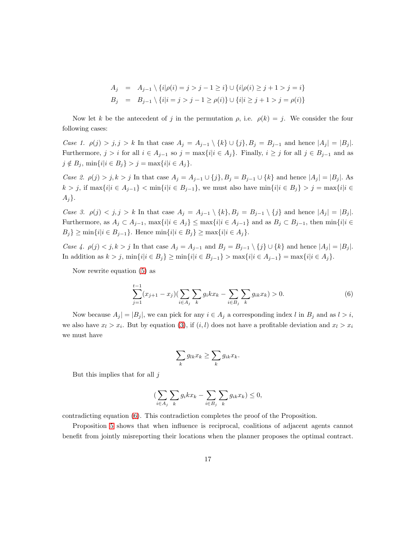$$
A_j = A_{j-1} \setminus \{i | \rho(i) = j > j - 1 \ge i\} \cup \{i | \rho(i) \ge j + 1 > j = i\}
$$
  
\n
$$
B_j = B_{j-1} \setminus \{i | i = j > j - 1 \ge \rho(i)\} \cup \{i | i \ge j + 1 > j = \rho(i)\}
$$

Now let k be the antecedent of j in the permutation  $\rho$ , i.e.  $\rho(k) = j$ . We consider the four following cases:

Case 1.  $\rho(j) > j, j > k$  In that case  $A_j = A_{j-1} \setminus \{k\} \cup \{j\}, B_j = B_{j-1}$  and hence  $|A_j| = |B_j|$ . Furthermore,  $j > i$  for all  $i \in A_{j-1}$  so  $j = \max\{i | i \in A_j\}$ . Finally,  $i \geq j$  for all  $j \in B_{j-1}$  and as  $j \notin B_j$ ,  $\min\{i | i \in B_j\} > j = \max\{i | i \in A_j\}.$ 

Case 2.  $\rho(j) > j, k > j$  In that case  $A_j = A_{j-1} \cup \{j\}, B_j = B_{j-1} \cup \{k\}$  and hence  $|A_j| = |B_j|$ . As  $k > j$ , if  $\max\{i|i \in A_{j-1}\} < \min\{i|i \in B_{j-1}\}$ , we must also have  $\min\{i|i \in B_j\} > j = \max\{i|i \in B_j\}$  $A_j$ .

Case 3.  $\rho(j) < j, j > k$  In that case  $A_j = A_{j-1} \setminus \{k\}, B_j = B_{j-1} \setminus \{j\}$  and hence  $|A_j| = |B_j|$ . Furthermore, as  $A_j \subset A_{j-1}$ ,  $\max\{i|i \in A_j\} \leq \max\{i|i \in A_{j-1}\}\$  and as  $B_j \subset B_{j-1}$ , then  $\min\{i|i \in A_j\}$  $B_j$ } ≥ min{*i*|*i* ∈  $B_{j-1}$ }. Hence min{*i*|*i* ∈  $B_j$ } ≥ max{*i*|*i* ∈  $A_j$ }.

Case 4.  $\rho(j) < j, k > j$  In that case  $A_j = A_{j-1}$  and  $B_j = B_{j-1} \setminus \{j\} \cup \{k\}$  and hence  $|A_j| = |B_j|$ . In addition as  $k > j$ ,  $\min\{i|i \in B_j\}$  ≥  $\min\{i|i \in B_{j-1}\}$  >  $\max\{i|i \in A_{j-1}\}$  =  $\max\{i|i \in A_j\}$ .

Now rewrite equation [\(5\)](#page-15-1) as

<span id="page-16-0"></span>
$$
\sum_{j=1}^{t-1} (x_{j+1} - x_j) \left( \sum_{i \in A_j} \sum_k g_i k x_k - \sum_{i \in B_j} \sum_k g_{ik} x_k \right) > 0.
$$
 (6)

Now because  $A_j = |B_j|$ , we can pick for any  $i \in A_j$  a corresponding index l in  $B_j$  and as  $l > i$ , we also have  $x_l > x_i$ . But by equation [\(3\)](#page-14-0), if  $(i, l)$  does not have a profitable deviation and  $x_l > x_i$ we must have

$$
\sum_{k} g_{lk} x_k \ge \sum_{k} g_{ik} x_k.
$$

But this implies that for all  $j$ 

$$
(\sum_{i\in A_j}\sum_k g_i k x_k - \sum_{i\in B_j}\sum_k g_{ik} x_k) \leq 0,
$$

contradicting equation [\(6\)](#page-16-0). This contradiction completes the proof of the Proposition.

Proposition [5](#page-14-1) shows that when influence is reciprocal, coalitions of adjacent agents cannot benefit from jointly misreporting their locations when the planner proposes the optimal contract.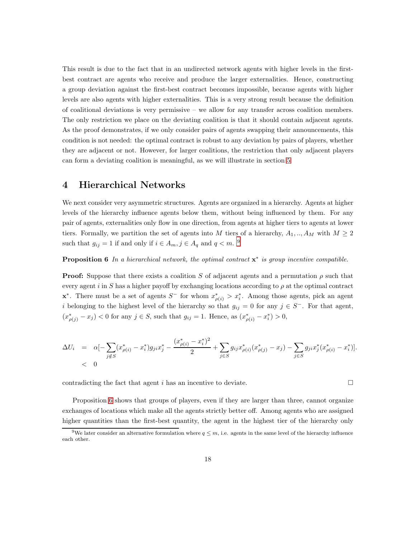This result is due to the fact that in an undirected network agents with higher levels in the firstbest contract are agents who receive and produce the larger externalities. Hence, constructing a group deviation against the first-best contract becomes impossible, because agents with higher levels are also agents with higher externalities. This is a very strong result because the definition of coalitional deviations is very permissive – we allow for any transfer across coalition members. The only restriction we place on the deviating coalition is that it should contain adjacent agents. As the proof demonstrates, if we only consider pairs of agents swapping their announcements, this condition is not needed: the optimal contract is robust to any deviation by pairs of players, whether they are adjacent or not. However, for larger coalitions, the restriction that only adjacent players can form a deviating coalition is meaningful, as we will illustrate in section [5](#page-25-0)

## 4 Hierarchical Networks

We next consider very asymmetric structures. Agents are organized in a hierarchy. Agents at higher levels of the hierarchy influence agents below them, without being influenced by them. For any pair of agents, externalities only flow in one direction, from agents at higher tiers to agents at lower tiers. Formally, we partition the set of agents into M tiers of a hierarchy,  $A_1, ..., A_M$  with  $M \geq 2$ such that  $g_{ij} = 1$  if and only if  $i \in A_m$ ,  $j \in A_q$  and  $q < m$ . <sup>9</sup>

<span id="page-17-0"></span>**Proposition 6** In a hierarchical network, the optimal contract  $\mathbf{x}^*$  is group incentive compatible.

**Proof:** Suppose that there exists a coalition S of adjacent agents and a permutation  $\rho$  such that every agent i in S has a higher payoff by exchanging locations according to  $\rho$  at the optimal contract **x**<sup>\*</sup>. There must be a set of agents  $S^-$  for whom  $x^*_{\rho(i)} > x^*_i$ . Among those agents, pick an agent i belonging to the highest level of the hierarchy so that  $g_{ij} = 0$  for any  $j \in S^-$ . For that agent,  $(x^*_{\rho(j)} - x_j) < 0$  for any  $j \in S$ , such that  $g_{ij} = 1$ . Hence, as  $(x^*_{\rho(i)} - x_i^*) > 0$ ,

$$
\Delta U_i = \alpha \left[ -\sum_{j \notin S} (x_{\rho(i)}^* - x_i^*) g_{ji} x_j^* - \frac{(x_{\rho(i)}^* - x_i^*)^2}{2} + \sum_{j \in S} g_{ij} x_{\rho(i)}^* (x_{\rho(j)}^* - x_j) - \sum_{j \in S} g_{ji} x_j^* (x_{\rho(i)}^* - x_i^*) \right].
$$
  
< 0

contradicting the fact that agent i has an incentive to deviate.  $\square$ 

Proposition [6](#page-17-0) shows that groups of players, even if they are larger than three, cannot organize exchanges of locations which make all the agents strictly better off. Among agents who are assigned higher quantities than the first-best quantity, the agent in the highest tier of the hierarchy only

<sup>&</sup>lt;sup>9</sup>We later consider an alternative formulation where  $q \leq m$ , i.e. agents in the same level of the hierarchy influence each other.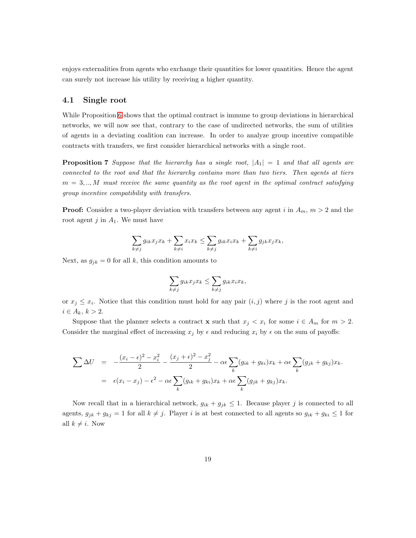enjoys externalities from agents who exchange their quantities for lower quantities. Hence the agent can surely not increase his utility by receiving a higher quantity.

## 4.1 Single root

While Proposition [6](#page-17-0) shows that the optimal contract is immune to group deviations in hierarchical networks, we will now see that, contrary to the case of undirected networks, the sum of utilities of agents in a deviating coalition can increase. In order to analyze group incentive compatible contracts with transfers, we first consider hierarchical networks with a single root.

<span id="page-18-0"></span>**Proposition 7** Suppose that the hierarchy has a single root,  $|A_1| = 1$  and that all agents are connected to the root and that the hierarchy contains more than two tiers. Then agents at tiers  $m = 3, \ldots, M$  must receive the same quantity as the root agent in the optimal contract satisfying group incentive compatibility with transfers.

**Proof:** Consider a two-player deviation with transfers between any agent i in  $A_m$ ,  $m > 2$  and the root agent  $j$  in  $A_1$ . We must have

$$
\sum_{k\neq j} g_{ik}x_jx_k+\sum_{k\neq i} x_ix_k\leq \sum_{k\neq j} g_{ik}x_ix_k+\sum_{k\neq i} g_{jk}x_jx_k,
$$

Next, as  $g_{jk} = 0$  for all k, this condition amounts to

$$
\sum_{k\neq j} g_{ik}x_jx_k \leq \sum_{k\neq j} g_{ik}x_ix_k,
$$

or  $x_j \leq x_i$ . Notice that this condition must hold for any pair  $(i, j)$  where j is the root agent and  $i \in A_k, k > 2.$ 

Suppose that the planner selects a contract **x** such that  $x_j < x_i$  for some  $i \in A_m$  for  $m > 2$ . Consider the marginal effect of increasing  $x_j$  by  $\epsilon$  and reducing  $x_i$  by  $\epsilon$  on the sum of payoffs:

$$
\sum \Delta U = -\frac{(x_i - \epsilon)^2 - x_i^2}{2} - \frac{(x_j + \epsilon)^2 - x_j^2}{2} - \alpha \epsilon \sum_k (g_{ik} + g_{ki}) x_k + \alpha \epsilon \sum_k (g_{jk} + g_{kj}) x_k.
$$
  
=  $\epsilon (x_i - x_j) - \epsilon^2 - \alpha \epsilon \sum_k (g_{ik} + g_{ki}) x_k + \alpha \epsilon \sum_k (g_{jk} + g_{kj}) x_k.$ 

Now recall that in a hierarchical network,  $g_{ik} + g_{jk} \leq 1$ . Because player j is connected to all agents,  $g_{jk} + g_{kj} = 1$  for all  $k \neq j$ . Player i is at best connected to all agents so  $g_{ik} + g_{ki} \leq 1$  for all  $k \neq i$ . Now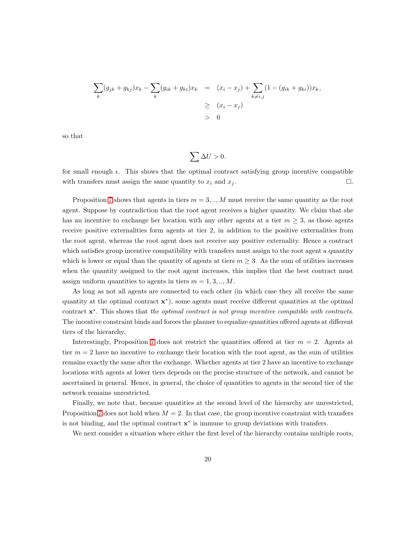$$
\sum_{k} (g_{jk} + g_{kj})x_k - \sum_{k} (g_{ik} + g_{ki})x_k = (x_i - x_j) + \sum_{k \neq i,j} (1 - (g_{ik} + g_{ki}))x_k,
$$
  
\n
$$
\geq (x_i - x_j)
$$
  
\n
$$
> 0
$$

so that

$$
\sum \Delta U > 0.
$$

for small enough  $\epsilon$ . This shows that the optimal contract satisfying group incentive compatible with transfers must assign the same quantity to  $x_i$  and  $x_j$ .  $\Box$ 

Proposition [7](#page-18-0) shows that agents in tiers  $m = 3, \ldots, M$  must receive the same quantity as the root agent. Suppose by contradiction that the root agent receives a higher quantity. We claim that she has an incentive to exchange her location with any other agents at a tier  $m \geq 3$ , as those agents receive positive externalities form agents at tier 2, in addition to the positive externalities from the root agent, whereas the root agent does not receive any positive externality. Hence a contract which satisfies group incentive compatibility with transfers must assign to the root agent a quantity which is lower or equal than the quantity of agents at tiers  $m \geq 3$ . As the sum of utilities increases when the quantity assigned to the root agent increases, this implies that the best contract must assign uniform quantities to agents in tiers  $m = 1, 3, \dots, M$ .

As long as not all agents are connected to each other (in which case they all receive the same quantity at the optimal contract  $\mathbf{x}^*$ ), some agents must receive different quantities at the optimal contract  $\mathbf{x}^*$ . This shows that the optimal contract is not group incentive compatible with contracts. The incentive constraint binds and forces the planner to equalize quantities offered agents at different tiers of the hierarchy.

Interestingly, Proposition [7](#page-18-0) does not restrict the quantities offered at tier  $m = 2$ . Agents at tier  $m = 2$  have no incentive to exchange their location with the root agent, as the sum of utilities remains exactly the same after the exchange. Whether agents at tier 2 have an incentive to exchange locations with agents at lower tiers depends on the precise structure of the network, and cannot be ascertained in general. Hence, in general, the choice of quantities to agents in the second tier of the network remains unrestricted.

Finally, we note that, because quantities at the second level of the hierarchy are unrestricted, Proposition [7](#page-18-0) does not hold when  $M = 2$ . In that case, the group incentive constraint with transfers is not binding, and the optimal contract  $x^*$  is immune to group deviations with transfers.

We next consider a situation where either the first level of the hierarchy contains multiple roots,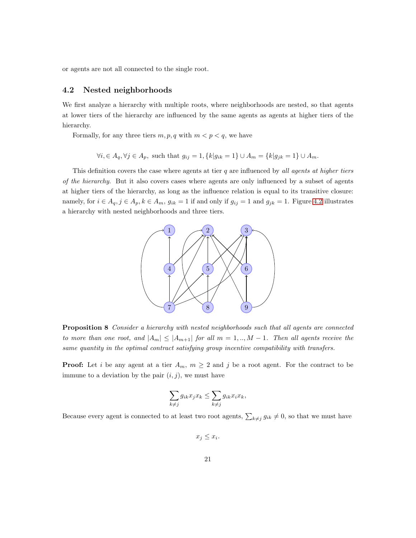<span id="page-20-0"></span>or agents are not all connected to the single root.

## 4.2 Nested neighborhoods

We first analyze a hierarchy with multiple roots, where neighborhoods are nested, so that agents at lower tiers of the hierarchy are influenced by the same agents as agents at higher tiers of the hierarchy.

Formally, for any three tiers  $m, p, q$  with  $m < p < q$ , we have

$$
\forall i, \in A_q, \forall j \in A_p
$$
, such that  $g_{ij} = 1, \{k | g_{ik} = 1\} \cup A_m = \{k | g_{jk} = 1\} \cup A_m$ .

This definition covers the case where agents at tier  $q$  are influenced by all agents at higher tiers of the hierarchy. But it also covers cases where agents are only influenced by a subset of agents at higher tiers of the hierarchy, as long as the influence relation is equal to its transitive closure: namely, for  $i \in A_q$ ,  $j \in A_p$ ,  $k \in A_m$ ,  $g_{ik} = 1$  if and only if  $g_{ij} = 1$  and  $g_{jk} = 1$ . Figure [4.2](#page-20-0) illustrates a hierarchy with nested neighborhoods and three tiers.



<span id="page-20-1"></span>Proposition 8 Consider a hierarchy with nested neighborhoods such that all agents are connected to more than one root, and  $|A_m| \leq |A_{m+1}|$  for all  $m = 1, ..., M-1$ . Then all agents receive the same quantity in the optimal contract satisfying group incentive compatibility with transfers.

**Proof:** Let i be any agent at a tier  $A_m$ ,  $m \geq 2$  and j be a root agent. For the contract to be immune to a deviation by the pair  $(i, j)$ , we must have

$$
\sum_{k \neq j} g_{ik} x_j x_k \leq \sum_{k \neq j} g_{ik} x_i x_k,
$$

Because every agent is connected to at least two root agents,  $\sum_{k\neq j} g_{ik} \neq 0$ , so that we must have

 $x_j \leq x_i$ .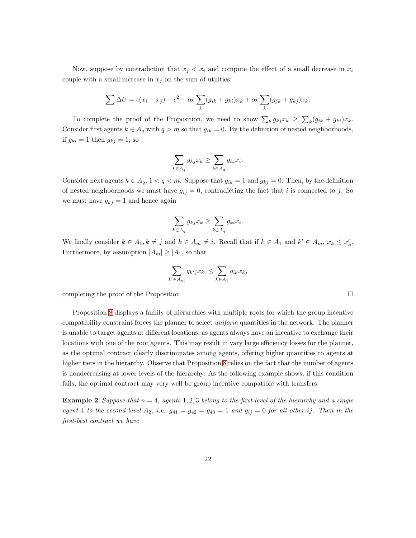Now, suppose by contradiction that  $x_j < x_i$  and compute the effect of a small decrease in  $x_i$ couple with a small increase in  $x_j$  on the sum of utilities:

$$
\sum \Delta U = \epsilon (x_i - x_j) - \epsilon^2 - \alpha \epsilon \sum_k (g_{ik} + g_{ki}) x_k + \alpha \epsilon \sum_k (g_{jk} + g_{kj}) x_k.
$$

To complete the proof of the Proposition, we need to show  $\sum_k g_{kj}x_k \geq \sum_k (g_{ik} + g_{ki})x_k$ . Consider first agents  $k \in A_q$  with  $q > m$  so that  $g_{ik} = 0$ . By the definition of nested neighborhoods, if  $g_{ki} = 1$  then  $g_{kj} = 1$ , so

$$
\sum_{k \in A_q} g_{kj} x_k \ge \sum_{k \in A_q} g_{ki} x_i.
$$

Consider next agents  $k \in A_q$ ,  $1 < q < m$ . Suppose that  $g_{ik} = 1$  and  $g_{kj} = 0$ . Then, by the definition of nested neighborhoods we must have  $g_{ij} = 0$ , contradicting the fact that i is connected to j. So we must have  $g_{kj} = 1$  and hence again

$$
\sum_{k \in A_q} g_{kj} x_k \ge \sum_{k \in A_q} g_{ki} x_i.
$$

We finally consider  $k \in A_1, k \neq j$  and  $k \in A_m \neq i$ . Recall that if  $k \in A_1$  and  $k' \in A_m$ ,  $x_k \leq x'_k$ . Furthermore, by assumption  $|A_m| \geq |A_1|$ , so that

$$
\sum_{k' \in A_m} g_{k'j} x_{k'} \le \sum_{k \in A_1} g_{ik} x_k,
$$

completing the proof of the Proposition.

Proposition [8](#page-20-1) displays a family of hierarchies with multiple roots for which the group incentive compatibility constraint forces the planner to select *uniform* quantities in the network. The planner is unable to target agents at different locations, as agents always have an incentive to exchange their locations with one of the root agents. This may result in vary large efficiency losses for the planner, as the optimal contract clearly discriminates among agents, offering higher quantities to agents at higher tiers in the hierarchy. Observe that Proposition [8](#page-20-1) relies on the fact that the number of agents is nondecreasing at lower levels of the hierarchy. As the following example shows, if this condition fails, the optimal contract may very well be group incentive compatible with transfers.

**Example 2** Suppose that  $n = 4$ , agents 1, 2, 3 belong to the first level of the hierarchy and a single agent 4 to the second level  $A_2$ , i.e.  $g_{41} = g_{42} = g_{43} = 1$  and  $g_{ij} = 0$  for all other ij. Then in the first-best contract we have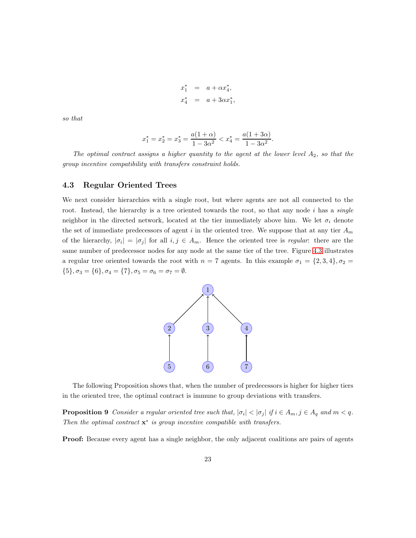$$
x_1^* = a + \alpha x_4^*, x_4^* = a + 3\alpha x_1^*,
$$

so that

$$
x_1^* = x_2^* = x_3^* = \frac{a(1+\alpha)}{1-3\alpha^2} < x_4^* = \frac{a(1+3\alpha)}{1-3\alpha^2}.
$$

The optimal contract assigns a higher quantity to the agent at the lower level  $A_2$ , so that the group incentive compatibility with transfers constraint holds.

### <span id="page-22-0"></span>4.3 Regular Oriented Trees

We next consider hierarchies with a single root, but where agents are not all connected to the root. Instead, the hierarchy is a tree oriented towards the root, so that any node  $i$  has a *single* neighbor in the directed network, located at the tier immediately above him. We let  $\sigma_i$  denote the set of immediate predecessors of agent  $i$  in the oriented tree. We suppose that at any tier  $A_m$ of the hierarchy,  $|\sigma_i| = |\sigma_j|$  for all  $i, j \in A_m$ . Hence the oriented tree is *regular*: there are the same number of predecessor nodes for any node at the same tier of the tree. Figure [4.3](#page-22-0) illustrates a regular tree oriented towards the root with  $n = 7$  agents. In this example  $\sigma_1 = \{2, 3, 4\}, \sigma_2 =$  $\{5\}, \sigma_3 = \{6\}, \sigma_4 = \{7\}, \sigma_5 = \sigma_6 = \sigma_7 = \emptyset.$ 



<span id="page-22-1"></span>The following Proposition shows that, when the number of predecessors is higher for higher tiers in the oriented tree, the optimal contract is immune to group deviations with transfers.

**Proposition 9** Consider a regular oriented tree such that,  $|\sigma_i| < |\sigma_j|$  if  $i \in A_m$ ,  $j \in A_q$  and  $m < q$ . Then the optimal contract  $\mathbf{x}^*$  is group incentive compatible with transfers.

Proof: Because every agent has a single neighbor, the only adjacent coalitions are pairs of agents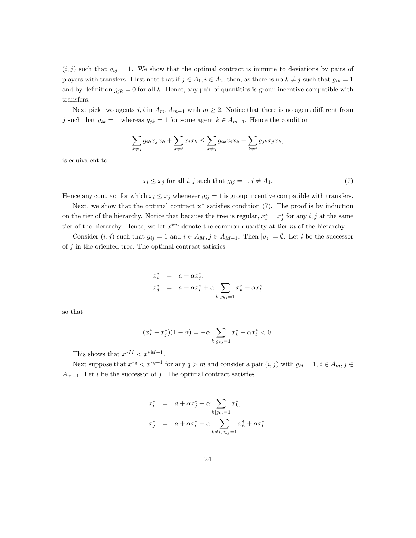$(i, j)$  such that  $g_{ij} = 1$ . We show that the optimal contract is immune to deviations by pairs of players with transfers. First note that if  $j \in A_1, i \in A_2$ , then, as there is no  $k \neq j$  such that  $g_{ik} = 1$ and by definition  $g_{jk} = 0$  for all k. Hence, any pair of quantities is group incentive compatible with transfers.

Next pick two agents j, i in  $A_m$ ,  $A_{m+1}$  with  $m \geq 2$ . Notice that there is no agent different from j such that  $g_{ik} = 1$  whereas  $g_{jk} = 1$  for some agent  $k \in A_{m-1}$ . Hence the condition

$$
\sum_{k\neq j} g_{ik}x_jx_k+\sum_{k\neq i} x_ix_k\leq \sum_{k\neq j} g_{ik}x_ix_k+\sum_{k\neq i} g_{jk}x_jx_k,
$$

is equivalent to

<span id="page-23-0"></span>
$$
x_i \le x_j \text{ for all } i, j \text{ such that } g_{ij} = 1, j \ne A_1. \tag{7}
$$

Hence any contract for which  $x_i \leq x_j$  whenever  $g_{ij} = 1$  is group incentive compatible with transfers.

Next, we show that the optimal contract  $\mathbf{x}^*$  satisfies condition [\(7\)](#page-23-0). The proof is by induction on the tier of the hierarchy. Notice that because the tree is regular,  $x_i^* = x_j^*$  for any  $i, j$  at the same tier of the hierarchy. Hence, we let  $x^{*m}$  denote the common quantity at tier m of the hierarchy.

Consider  $(i, j)$  such that  $g_{ij} = 1$  and  $i \in A_M$ ,  $j \in A_{M-1}$ . Then  $|\sigma_i| = \emptyset$ . Let l be the successor of  $j$  in the oriented tree. The optimal contract satisfies

$$
x_i^* = a + \alpha x_j^*,
$$
  

$$
x_j^* = a + \alpha x_i^* + \alpha \sum_{k|g_{kj}=1} x_k^* + \alpha x_l^*
$$

so that

$$
(x_i^* - x_j^*)(1 - \alpha) = -\alpha \sum_{k|g_{kj}=1} x_k^* + \alpha x_l^* < 0.
$$

This shows that  $x^{*M} < x^{*M-1}$ .

Next suppose that  $x^{*q} < x^{*q-1}$  for any  $q > m$  and consider a pair  $(i, j)$  with  $g_{ij} = 1, i \in A_m, j \in \mathbb{R}$  $A_{m-1}$ . Let l be the successor of j. The optimal contract satisfies

$$
x_i^* = a + \alpha x_j^* + \alpha \sum_{k|g_{ki}=1} x_k^*,
$$
  

$$
x_j^* = a + \alpha x_i^* + \alpha \sum_{k \neq i, g_{kj}=1} x_k^* + \alpha x_l^*.
$$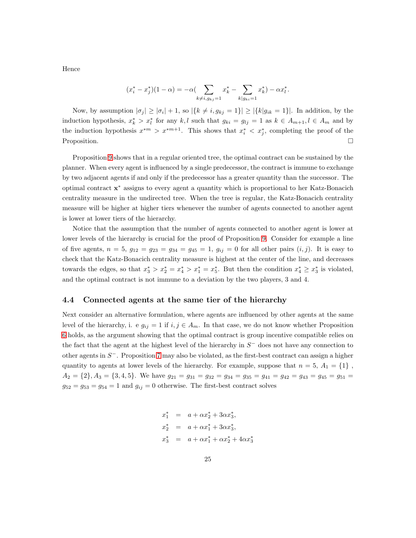Hence

$$
(x_i^* - x_j^*)(1 - \alpha) = -\alpha \left( \sum_{k \neq i, g_{kj}=1} x_k^* - \sum_{k | g_{ki}=1} x_k^* \right) - \alpha x_l^*.
$$

Now, by assumption  $|\sigma_j| \geq |\sigma_i| + 1$ , so  $|\{k \neq i, g_{kj} = 1\}| \geq |\{k | g_{ik} = 1\}|$ . In addition, by the induction hypothesis,  $x_k^* > x_l^*$  for any k, l such that  $g_{ki} = g_{lj} = 1$  as  $k \in A_{m+1}, l \in A_m$  and by the induction hypothesis  $x^{*m} > x^{*m+1}$ . This shows that  $x_i^* < x_j^*$ , completing the proof of the Proposition.

Proposition [9](#page-22-1) shows that in a regular oriented tree, the optimal contract can be sustained by the planner. When every agent is influenced by a single predecessor, the contract is immune to exchange by two adjacent agents if and only if the predecessor has a greater quantity than the successor. The optimal contract x <sup>∗</sup> assigns to every agent a quantity which is proportional to her Katz-Bonacich centrality measure in the undirected tree. When the tree is regular, the Katz-Bonacich centrality measure will be higher at higher tiers whenever the number of agents connected to another agent is lower at lower tiers of the hierarchy.

Notice that the assumption that the number of agents connected to another agent is lower at lower levels of the hierarchy is crucial for the proof of Proposition [9.](#page-22-1) Consider for example a line of five agents,  $n = 5$ ,  $g_{12} = g_{23} = g_{34} = g_{45} = 1$ ,  $g_{ij} = 0$  for all other pairs  $(i, j)$ . It is easy to check that the Katz-Bonacich centrality measure is highest at the center of the line, and decreases towards the edges, so that  $x_3^* > x_2^* = x_4^* > x_1^* = x_5^*$ . But then the condition  $x_4^* \ge x_3^*$  is violated, and the optimal contract is not immune to a deviation by the two players, 3 and 4.

#### 4.4 Connected agents at the same tier of the hierarchy

Next consider an alternative formulation, where agents are influenced by other agents at the same level of the hierarchy, i. e  $g_{ij} = 1$  if  $i, j \in A_m$ . In that case, we do not know whether Proposition [6](#page-17-0) holds, as the argument showing that the optimal contract is group incentive compatible relies on the fact that the agent at the highest level of the hierarchy in  $S^-$  does not have any connection to other agents in  $S^-$ . Proposition [7](#page-18-0) may also be violated, as the first-best contract can assign a higher quantity to agents at lower levels of the hierarchy. For example, suppose that  $n = 5$ ,  $A_1 = \{1\}$ ,  $A_2 = \{2\}, A_3 = \{3, 4, 5\}.$  We have  $g_{21} = g_{31} = g_{32} = g_{34} = g_{35} = g_{41} = g_{42} = g_{43} = g_{45} = g_{51} = g_{52}$  $g_{52} = g_{53} = g_{54} = 1$  and  $g_{ij} = 0$  otherwise. The first-best contract solves

$$
x_1^* = a + \alpha x_2^* + 3\alpha x_3^*,
$$
  
\n
$$
x_2^* = a + \alpha x_1^* + 3\alpha x_3^*,
$$
  
\n
$$
x_3^* = a + \alpha x_1^* + \alpha x_2^* + 4\alpha x_3^*
$$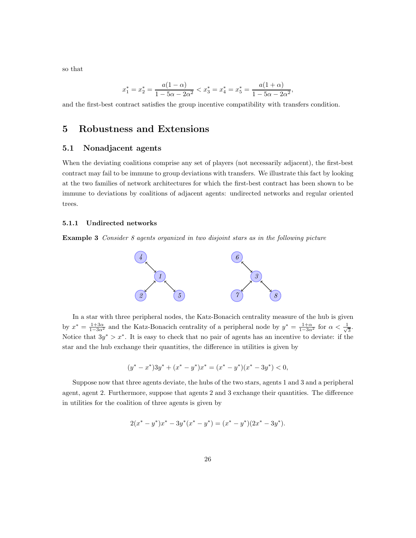so that

$$
x_1^* = x_2^* = \frac{a(1 - \alpha)}{1 - 5\alpha - 2\alpha^2} < x_3^* = x_4^* = x_5^* = \frac{a(1 + \alpha)}{1 - 5\alpha - 2\alpha^2}
$$

,

<span id="page-25-0"></span>and the first-best contract satisfies the group incentive compatibility with transfers condition.

## 5 Robustness and Extensions

## 5.1 Nonadjacent agents

When the deviating coalitions comprise any set of players (not necessarily adjacent), the first-best contract may fail to be immune to group deviations with transfers. We illustrate this fact by looking at the two families of network architectures for which the first-best contract has been shown to be immune to deviations by coalitions of adjacent agents: undirected networks and regular oriented trees.

#### 5.1.1 Undirected networks

Example 3 Consider 8 agents organized in two disjoint stars as in the following picture



In a star with three peripheral nodes, the Katz-Bonacich centrality measure of the hub is given by  $x^* = \frac{1+3\alpha}{1-3\alpha^2}$  and the Katz-Bonacich centrality of a peripheral node by  $y^* = \frac{1+\alpha}{1-3\alpha^2}$  for  $\alpha < \frac{1}{\sqrt{3}}$  $\frac{1}{3}$ . Notice that  $3y^* > x^*$ . It is easy to check that no pair of agents has an incentive to deviate: if the star and the hub exchange their quantities, the difference in utilities is given by

$$
(y^*-x^*)3y^*+(x^*-y^*)x^*=(x^*-y^*)(x^*-3y^*)<0,\\
$$

Suppose now that three agents deviate, the hubs of the two stars, agents 1 and 3 and a peripheral agent, agent 2. Furthermore, suppose that agents 2 and 3 exchange their quantities. The difference in utilities for the coalition of three agents is given by

$$
2(x^* - y^*)x^* - 3y^*(x^* - y^*) = (x^* - y^*)(2x^* - 3y^*).
$$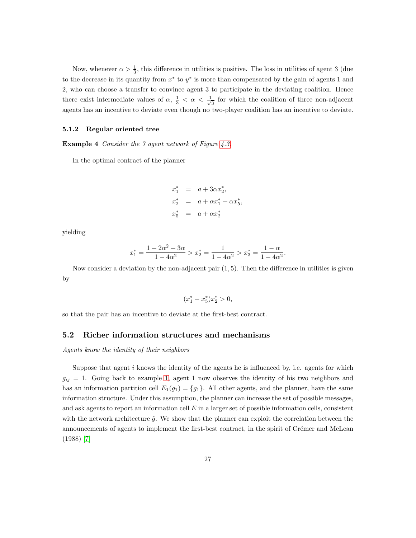Now, whenever  $\alpha > \frac{1}{3}$ , this difference in utilities is positive. The loss in utilities of agent 3 (due to the decrease in its quantity from  $x^*$  to  $y^*$  is more than compensated by the gain of agents 1 and 2, who can choose a transfer to convince agent 3 to participate in the deviating coalition. Hence there exist intermediate values of  $\alpha$ ,  $\frac{1}{3} < \alpha < \frac{1}{\sqrt{2}}$  $\frac{1}{3}$  for which the coalition of three non-adjacent agents has an incentive to deviate even though no two-player coalition has an incentive to deviate.

#### 5.1.2 Regular oriented tree

**Example 4** Consider the 7 agent network of Figure [4.3.](#page-22-0)

In the optimal contract of the planner

$$
x_1^* = a + 3\alpha x_2^*,
$$
  
\n
$$
x_2^* = a + \alpha x_1^* + \alpha x_5^*,
$$
  
\n
$$
x_5^* = a + \alpha x_2^*
$$

yielding

$$
x_1^* = \frac{1 + 2\alpha^2 + 3\alpha}{1 - 4\alpha^2} > x_2^* = \frac{1}{1 - 4\alpha^2} > x_3^* = \frac{1 - \alpha}{1 - 4\alpha^2}
$$

.

Now consider a deviation by the non-adjacent pair  $(1, 5)$ . Then the difference in utilities is given by

$$
(x_1^*-x_5^*)x_2^*>0,
$$

so that the pair has an incentive to deviate at the first-best contract.

### 5.2 Richer information structures and mechanisms

Agents know the identity of their neighbors

<span id="page-26-0"></span>Suppose that agent  $i$  knows the identity of the agents he is influenced by, i.e. agents for which  $g_{ij} = 1$ . Going back to example [1,](#page-9-0) agent 1 now observes the identity of his two neighbors and has an information partition cell  $E_1(g_1) = \{g_1\}$ . All other agents, and the planner, have the same information structure. Under this assumption, the planner can increase the set of possible messages, and ask agents to report an information cell  $E$  in a larger set of possible information cells, consistent with the network architecture  $\hat{g}$ . We show that the planner can exploit the correlation between the announcements of agents to implement the first-best contract, in the spirit of Crémer and McLean (1988) [\[7\]](#page-29-0)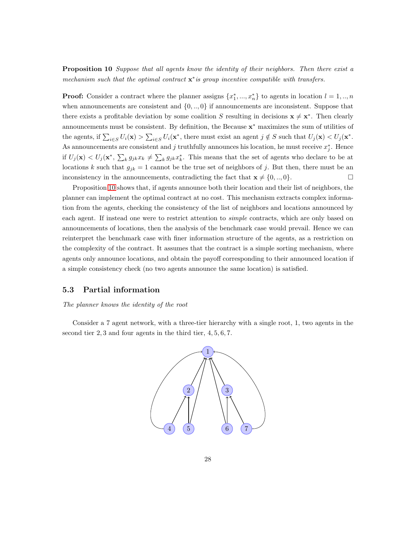**Proposition 10** Suppose that all agents know the identity of their neighbors. Then there exist a mechanism such that the optimal contract  $\mathbf{x}^*$  is group incentive compatible with transfers.

**Proof:** Consider a contract where the planner assigns  $\{x_1^*,...,x_n^*\}$  to agents in location  $l=1,..,n$ when announcements are consistent and  $\{0, \ldots, 0\}$  if announcements are inconsistent. Suppose that there exists a profitable deviation by some coalition S resulting in decisions  $\mathbf{x} \neq \mathbf{x}^*$ . Then clearly announcements must be consistent. By definition, the Because  $\mathbf{x}^*$  maximizes the sum of utilities of the agents, if  $\sum_{i\in S} U_i(\mathbf{x}) > \sum_{i\in S} U_i(\mathbf{x}^*$ , there must exist an agent  $j \notin S$  such that  $U_j(\mathbf{x}) < U_j(\mathbf{x}^*$ . As announcements are consistent and j truthfully announces his location, he must receive  $x_j^*$ . Hence if  $U_j(\mathbf{x}) < U_j(\mathbf{x}^*, \sum_k g_{jk} x_k \neq \sum_k g_{jk} x_k^*$ . This means that the set of agents who declare to be at locations k such that  $g_{jk} = 1$  cannot be the true set of neighbors of j. But then, there must be an inconsistency in the announcements, contradicting the fact that  $\mathbf{x} \neq \{0,..,0\}$ .

Proposition [10](#page-26-0) shows that, if agents announce both their location and their list of neighbors, the planner can implement the optimal contract at no cost. This mechanism extracts complex information from the agents, checking the consistency of the list of neighbors and locations announced by each agent. If instead one were to restrict attention to *simple* contracts, which are only based on announcements of locations, then the analysis of the benchmark case would prevail. Hence we can reinterpret the benchmark case with finer information structure of the agents, as a restriction on the complexity of the contract. It assumes that the contract is a simple sorting mechanism, where agents only announce locations, and obtain the payoff corresponding to their announced location if a simple consistency check (no two agents announce the same location) is satisfied.

### 5.3 Partial information

#### The planner knows the identity of the root

Consider a 7 agent network, with a three-tier hierarchy with a single root, 1, two agents in the second tier 2, 3 and four agents in the third tier, 4, 5, 6, 7.

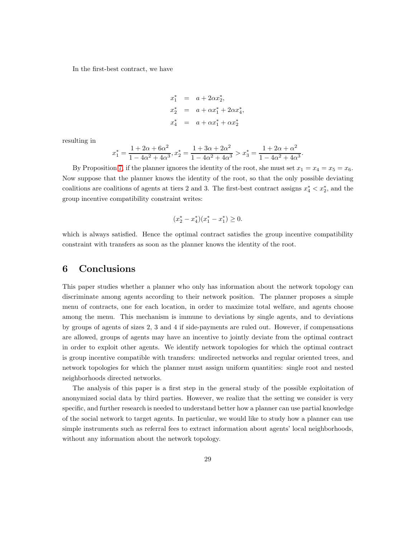In the first-best contract, we have

$$
x_1^* = a + 2\alpha x_2^*,
$$
  
\n
$$
x_2^* = a + \alpha x_1^* + 2\alpha x_4^*,
$$
  
\n
$$
x_4^* = a + \alpha x_1^* + \alpha x_2^*
$$

resulting in

$$
x_1^* = \frac{1 + 2\alpha + 6\alpha^2}{1 - 4\alpha^2 + 4\alpha^3}, x_2^* = \frac{1 + 3\alpha + 2\alpha^2}{1 - 4\alpha^2 + 4\alpha^3} > x_3^* = \frac{1 + 2\alpha + \alpha^2}{1 - 4\alpha^2 + 4\alpha^3}.
$$

By Proposition [7,](#page-18-0) if the planner ignores the identity of the root, she must set  $x_1 = x_4 = x_5 = x_6$ . Now suppose that the planner knows the identity of the root, so that the only possible deviating coalitions are coalitions of agents at tiers 2 and 3. The first-best contract assigns  $x_4^* < x_2^*$ , and the group incentive compatibility constraint writes:

$$
(x_2^* - x_4^*)(x_1^* - x_1^*) \ge 0.
$$

which is always satisfied. Hence the optimal contract satisfies the group incentive compatibility constraint with transfers as soon as the planner knows the identity of the root.

## 6 Conclusions

This paper studies whether a planner who only has information about the network topology can discriminate among agents according to their network position. The planner proposes a simple menu of contracts, one for each location, in order to maximize total welfare, and agents choose among the menu. This mechanism is immune to deviations by single agents, and to deviations by groups of agents of sizes 2, 3 and 4 if side-payments are ruled out. However, if compensations are allowed, groups of agents may have an incentive to jointly deviate from the optimal contract in order to exploit other agents. We identify network topologies for which the optimal contract is group incentive compatible with transfers: undirected networks and regular oriented trees, and network topologies for which the planner must assign uniform quantities: single root and nested neighborhoods directed networks.

The analysis of this paper is a first step in the general study of the possible exploitation of anonymized social data by third parties. However, we realize that the setting we consider is very specific, and further research is needed to understand better how a planner can use partial knowledge of the social network to target agents. In particular, we would like to study how a planner can use simple instruments such as referral fees to extract information about agents' local neighborhoods, without any information about the network topology.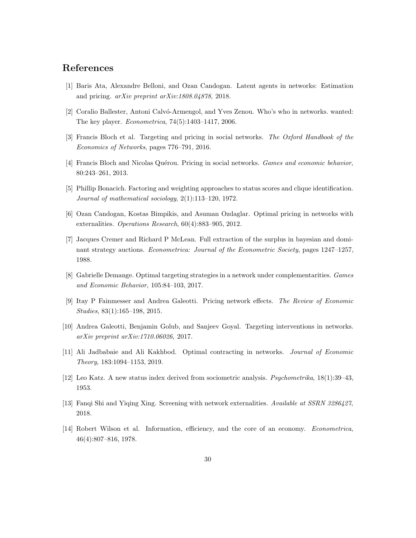## <span id="page-29-9"></span>References

- <span id="page-29-2"></span>[1] Baris Ata, Alexandre Belloni, and Ozan Candogan. Latent agents in networks: Estimation and pricing. arXiv preprint arXiv:1808.04878, 2018.
- <span id="page-29-1"></span>[2] Coralio Ballester, Antoni Calvó-Armengol, and Yves Zenou. Who's who in networks. wanted: The key player. Econometrica, 74(5):1403–1417, 2006.
- <span id="page-29-6"></span>[3] Francis Bloch et al. Targeting and pricing in social networks. The Oxford Handbook of the Economics of Networks, pages 776–791, 2016.
- <span id="page-29-12"></span>[4] Francis Bloch and Nicolas Quérou. Pricing in social networks. *Games and economic behavior*, 80:243–261, 2013.
- <span id="page-29-5"></span>[5] Phillip Bonacich. Factoring and weighting approaches to status scores and clique identification. Journal of mathematical sociology, 2(1):113–120, 1972.
- <span id="page-29-0"></span>[6] Ozan Candogan, Kostas Bimpikis, and Asuman Ozdaglar. Optimal pricing in networks with externalities. Operations Research, 60(4):883–905, 2012.
- [7] Jacques Cremer and Richard P McLean. Full extraction of the surplus in bayesian and dominant strategy auctions. Econometrica: Journal of the Econometric Society, pages 1247–1257, 1988.
- <span id="page-29-7"></span><span id="page-29-3"></span>[8] Gabrielle Demange. Optimal targeting strategies in a network under complementarities. Games and Economic Behavior, 105:84–103, 2017.
- <span id="page-29-4"></span>[9] Itay P Fainmesser and Andrea Galeotti. Pricing network effects. The Review of Economic Studies, 83(1):165–198, 2015.
- <span id="page-29-8"></span>[10] Andrea Galeotti, Benjamin Golub, and Sanjeev Goyal. Targeting interventions in networks. arXiv preprint arXiv:1710.06026, 2017.
- <span id="page-29-11"></span>[11] Ali Jadbabaie and Ali Kakhbod. Optimal contracting in networks. Journal of Economic Theory, 183:1094–1153, 2019.
- <span id="page-29-10"></span>[12] Leo Katz. A new status index derived from sociometric analysis. Psychometrika, 18(1):39–43, 1953.
- <span id="page-29-13"></span>[13] Fanqi Shi and Yiqing Xing. Screening with network externalities. Available at SSRN 3286427, 2018.
- [14] Robert Wilson et al. Information, efficiency, and the core of an economy. Econometrica, 46(4):807–816, 1978.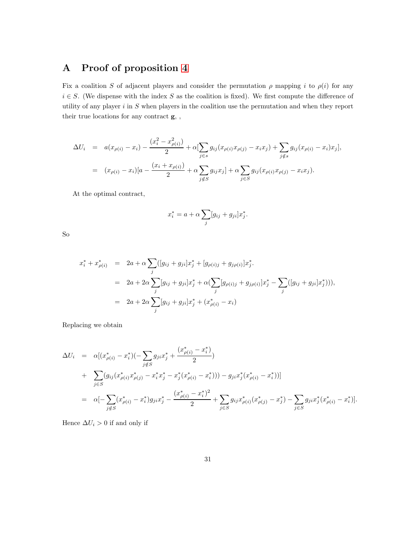# <span id="page-30-0"></span>A Proof of proposition [4](#page-13-0)

Fix a coalition S of adjacent players and consider the permutation  $\rho$  mapping i to  $\rho(i)$  for any  $i \in S$ . (We dispense with the index S as the coalition is fixed). We first compute the difference of utility of any player  $i$  in  $S$  when players in the coalition use the permutation and when they report their true locations for any contract g, ,

$$
\Delta U_i = a(x_{\rho(i)} - x_i) - \frac{(x_i^2 - x_{\rho(i)}^2)}{2} + \alpha \left[ \sum_{j \in s} g_{ij}(x_{\rho(i)} x_{\rho(j)} - x_i x_j) + \sum_{j \notin s} g_{ij}(x_{\rho(i)} - x_i) x_j \right],
$$
  
=  $(x_{\rho(i)} - x_i) [a - \frac{(x_i + x_{\rho(i)})}{2} + \alpha \sum_{j \notin S} g_{ij} x_j] + \alpha \sum_{j \in S} g_{ij}(x_{\rho(i)} x_{\rho(j)} - x_i x_j).$ 

At the optimal contract,

$$
x_i^* = a + \alpha \sum_j [g_{ij} + g_{ji}] x_j^*.
$$

So

$$
x_i^* + x_{\rho(i)}^* = 2a + \alpha \sum_j ([g_{ij} + g_{ji}]x_j^* + [g_{\rho(i)j} + g_{j\rho(i)}]x_j^*.
$$
  
=  $2a + 2\alpha \sum_j [g_{ij} + g_{ji}]x_j^* + \alpha(\sum_j [g_{\rho(i)j} + g_{j\rho(i)}]x_j^* - \sum_j ([g_{ij} + g_{ji}]x_j^*))),$   
=  $2a + 2\alpha \sum_j [g_{ij} + g_{ji}]x_j^* + (x_{\rho(i)}^* - x_i)$ 

Replacing we obtain

$$
\Delta U_i = \alpha [(x_{\rho(i)}^* - x_i^*)( - \sum_{j \notin S} g_{ji}x_j^* + \frac{(x_{\rho(i)}^* - x_i^*)}{2})
$$
  
+ 
$$
\sum_{j \in S} (g_{ij}(x_{\rho(i)}^*x_{\rho(j)}^* - x_i^*x_j^* - x_j^*(x_{\rho(i)}^* - x_i^*))) - g_{ji}x_j^*(x_{\rho(i)}^* - x_i^*))]
$$
  
= 
$$
\alpha [-\sum_{j \notin S} (x_{\rho(i)}^* - x_i^*)g_{ji}x_j^* - \frac{(x_{\rho(i)}^* - x_i^*)^2}{2} + \sum_{j \in S} g_{ij}x_{\rho(i)}^*(x_{\rho(j)}^* - x_j^*) - \sum_{j \in S} g_{ji}x_j^*(x_{\rho(i)}^* - x_i^*)].
$$

Hence  $\Delta U_i > 0$  if and only if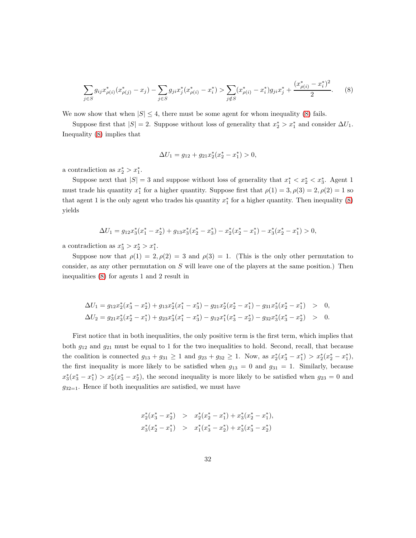<span id="page-31-0"></span>
$$
\sum_{j \in S} g_{ij} x_{\rho(i)}^*(x_{\rho(j)}^* - x_j) - \sum_{j \in S} g_{ji} x_j^*(x_{\rho(i)}^* - x_i^*) > \sum_{j \notin S} (x_{\rho(i)}^* - x_i^*) g_{ji} x_j^* + \frac{(x_{\rho(i)}^* - x_i^*)^2}{2}.\tag{8}
$$

We now show that when  $|S| \leq 4$ , there must be some agent for whom inequality [\(8\)](#page-31-0) fails.

Suppose first that  $|S| = 2$ . Suppose without loss of generality that  $x_2^* > x_1^*$  and consider  $\Delta U_1$ . Inequality [\(8\)](#page-31-0) implies that

$$
\Delta U_1 = g_{12} + g_{21} x_2^* (x_2^* - x_1^*) > 0,
$$

a contradiction as  $x_2^* > x_1^*$ .

Suppose next that  $|S| = 3$  and suppose without loss of generality that  $x_1^* < x_2^* < x_3^*$ . Agent 1 must trade his quantity  $x_1^*$  for a higher quantity. Suppose first that  $\rho(1) = 3, \rho(3) = 2, \rho(2) = 1$  so that agent 1 is the only agent who trades his quantity  $x_1^*$  for a higher quantity. Then inequality [\(8\)](#page-31-0) yields

$$
\Delta U_1 = g_{12}x_3^*(x_1^* - x_2^*) + g_{13}x_3^*(x_2^* - x_3^*) - x_2^*(x_2^* - x_1^*) - x_3^*(x_2^* - x_1^*) > 0,
$$

a contradiction as  $x_3^* > x_2^* > x_1^*$ .

Suppose now that  $\rho(1) = 2, \rho(2) = 3$  and  $\rho(3) = 1$ . (This is the only other permutation to consider, as any other permutation on  $S$  will leave one of the players at the same position.) Then inequalities [\(8\)](#page-31-0) for agents 1 and 2 result in

$$
\Delta U_1 = g_{12}x_2^*(x_3^* - x_2^*) + g_{13}x_2^*(x_1^* - x_3^*) - g_{21}x_2^*(x_2^* - x_1^*) - g_{31}x_3^*(x_2^* - x_1^*) > 0,
$$
  
\n
$$
\Delta U_2 = g_{21}x_3^*(x_2^* - x_1^*) + g_{23}x_3^*(x_1^* - x_3^*) - g_{12}x_1^*(x_3^* - x_2^*) - g_{32}x_3^*(x_3^* - x_2^*) > 0.
$$

First notice that in both inequalities, the only positive term is the first term, which implies that both  $g_{12}$  and  $g_{21}$  must be equal to 1 for the two inequalities to hold. Second, recall, that because the coalition is connected  $g_{13} + g_{31} \ge 1$  and  $g_{23} + g_{32} \ge 1$ . Now, as  $x_2^*(x_3^* - x_1^*) > x_2^*(x_2^* - x_1^*),$ the first inequality is more likely to be satisfied when  $g_{13} = 0$  and  $g_{31} = 1$ . Similarly, because  $x_3^*(x_3^* - x_1^*) > x_3^*(x_3^* - x_2^*)$ , the second inequality is more likely to be satisfied when  $g_{23} = 0$  and  $g_{32=1}$ . Hence if both inequalities are satisfied, we must have

$$
\begin{array}{rcl} x_2^*(x_3^*-x_2^*) & > & x_2^*(x_2^*-x_1^*) + x_3^*(x_2^*-x_1^*), \\ x_3^*(x_2^*-x_1^*) & > & x_1^*(x_3^*-x_2^*) + x_3^*(x_3^*-x_2^*) \end{array}
$$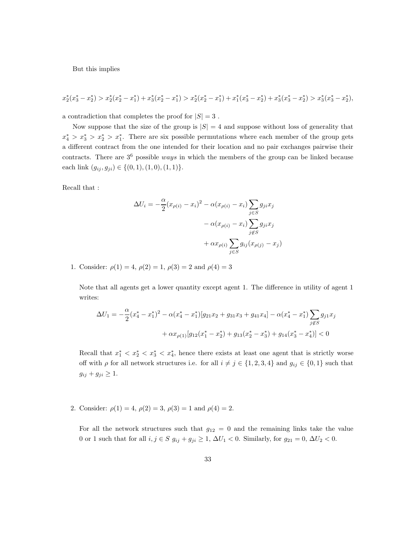But this implies

$$
x_2^*(x_3^*-x_2^*) > x_2^*(x_2^*-x_1^*) + x_3^*(x_2^*-x_1^*) > x_2^*(x_2^*-x_1^*) + x_1^*(x_3^*-x_2^*) + x_3^*(x_3^*-x_2^*) > x_3^*(x_3^*-x_2^*),
$$

a contradiction that completes the proof for  $|S| = 3$ .

Now suppose that the size of the group is  $|S| = 4$  and suppose without loss of generality that  $x_4^* > x_3^* > x_2^* > x_1^*$ . There are six possible permutations where each member of the group gets a different contract from the one intended for their location and no pair exchanges pairwise their contracts. There are  $3^6$  possible *ways* in which the members of the group can be linked because each link  $(g_{ij}, g_{ji}) \in \{(0, 1), (1, 0), (1, 1)\}.$ 

Recall that :

$$
\Delta U_i = -\frac{\alpha}{2} (x_{\rho(i)} - x_i)^2 - \alpha (x_{\rho(i)} - x_i) \sum_{j \in S} g_{ji} x_j
$$

$$
- \alpha (x_{\rho(i)} - x_i) \sum_{j \notin S} g_{ji} x_j
$$

$$
+ \alpha x_{\rho(i)} \sum_{j \in S} g_{ij} (x_{\rho(j)} - x_j)
$$

1. Consider:  $\rho(1) = 4$ ,  $\rho(2) = 1$ ,  $\rho(3) = 2$  and  $\rho(4) = 3$ 

Note that all agents get a lower quantity except agent 1. The difference in utility of agent 1 writes:

$$
\Delta U_1 = -\frac{\alpha}{2}(x_4^* - x_1^*)^2 - \alpha(x_4^* - x_1^*)[g_{21}x_2 + g_{31}x_3 + g_{41}x_4] - \alpha(x_4^* - x_1^*)\sum_{j \notin S} g_{j1}x_j
$$

$$
+ \alpha x_{\rho(1)}[g_{12}(x_1^* - x_2^*) + g_{13}(x_2^* - x_3^*) + g_{14}(x_3^* - x_4^*)] < 0
$$

Recall that  $x_1^* \le x_2^* \le x_3^* \le x_4^*$ , hence there exists at least one agent that is strictly worse off with  $\rho$  for all network structures i.e. for all  $i \neq j \in \{1, 2, 3, 4\}$  and  $g_{ij} \in \{0, 1\}$  such that  $g_{ij} + g_{ji} \geq 1.$ 

2. Consider:  $\rho(1) = 4$ ,  $\rho(2) = 3$ ,  $\rho(3) = 1$  and  $\rho(4) = 2$ .

For all the network structures such that  $g_{12} = 0$  and the remaining links take the value 0 or 1 such that for all  $i, j \in S$   $g_{ij} + g_{ji} \ge 1$ ,  $\Delta U_1 < 0$ . Similarly, for  $g_{21} = 0$ ,  $\Delta U_2 < 0$ .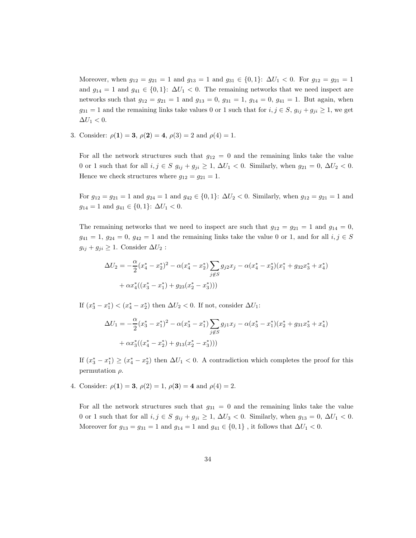Moreover, when  $g_{12} = g_{21} = 1$  and  $g_{13} = 1$  and  $g_{31} \in \{0, 1\}$ :  $\Delta U_1 < 0$ . For  $g_{12} = g_{21} = 1$ and  $g_{14} = 1$  and  $g_{41} \in \{0,1\}$ :  $\Delta U_1 < 0$ . The remaining networks that we need inspect are networks such that  $g_{12} = g_{21} = 1$  and  $g_{13} = 0$ ,  $g_{31} = 1$ ,  $g_{14} = 0$ ,  $g_{41} = 1$ . But again, when  $g_{31} = 1$  and the remaining links take values 0 or 1 such that for  $i, j \in S$ ,  $g_{ij} + g_{ji} \ge 1$ , we get  $\Delta U_1 < 0.$ 

3. Consider:  $\rho(1) = 3$ ,  $\rho(2) = 4$ ,  $\rho(3) = 2$  and  $\rho(4) = 1$ .

For all the network structures such that  $g_{12} = 0$  and the remaining links take the value 0 or 1 such that for all  $i, j \in S$   $g_{ij} + g_{ji} \ge 1$ ,  $\Delta U_1 < 0$ . Similarly, when  $g_{21} = 0$ ,  $\Delta U_2 < 0$ . Hence we check structures where  $g_{12} = g_{21} = 1$ .

For  $g_{12} = g_{21} = 1$  and  $g_{24} = 1$  and  $g_{42} \in \{0, 1\}$ :  $\Delta U_2 < 0$ . Similarly, when  $g_{12} = g_{21} = 1$  and  $g_{14} = 1$  and  $g_{41} \in \{0, 1\}$ :  $\Delta U_1 < 0$ .

The remaining networks that we need to inspect are such that  $g_{12} = g_{21} = 1$  and  $g_{14} = 0$ ,  $g_{41} = 1, g_{24} = 0, g_{42} = 1$  and the remaining links take the value 0 or 1, and for all  $i, j \in S$  $g_{ij} + g_{ji} \geq 1$ . Consider  $\Delta U_2$ :

$$
\Delta U_2 = -\frac{\alpha}{2}(x_4^* - x_2^*)^2 - \alpha(x_4^* - x_2^*) \sum_{j \notin S} g_{j2}x_j - \alpha(x_4^* - x_2^*)(x_1^* + g_{32}x_3^* + x_4^*)
$$
  
+  $\alpha x_4^*((x_3^* - x_1^*) + g_{23}(x_2^* - x_3^*)))$ 

If  $(x_3^* - x_1^*) < (x_4^* - x_2^*)$  then  $\Delta U_2 < 0$ . If not, consider  $\Delta U_1$ :

$$
\Delta U_1 = -\frac{\alpha}{2}(x_3^* - x_1^*)^2 - \alpha(x_3^* - x_1^*) \sum_{j \notin S} g_{j1}x_j - \alpha(x_3^* - x_1^*)(x_2^* + g_{31}x_3^* + x_4^*)
$$
  
+ 
$$
\alpha x_3^*((x_4^* - x_2^*) + g_{13}(x_2^* - x_3^*)))
$$

If  $(x_3^* - x_1^*) \ge (x_4^* - x_2^*)$  then  $\Delta U_1 < 0$ . A contradiction which completes the proof for this permutation  $\rho$ .

4. Consider:  $\rho(1) = 3$ ,  $\rho(2) = 1$ ,  $\rho(3) = 4$  and  $\rho(4) = 2$ .

For all the network structures such that  $g_{31} = 0$  and the remaining links take the value 0 or 1 such that for all  $i, j \in S$   $g_{ij} + g_{ji} \ge 1$ ,  $\Delta U_3 < 0$ . Similarly, when  $g_{13} = 0$ ,  $\Delta U_1 < 0$ . Moreover for  $g_{13} = g_{31} = 1$  and  $g_{14} = 1$  and  $g_{41} \in \{0, 1\}$ , it follows that  $\Delta U_1 < 0$ .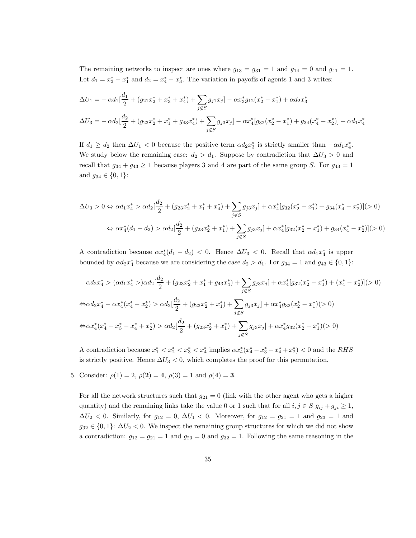The remaining networks to inspect are ones where  $g_{13} = g_{31} = 1$  and  $g_{14} = 0$  and  $g_{41} = 1$ . Let  $d_1 = x_3^* - x_1^*$  and  $d_2 = x_4^* - x_3^*$ . The variation in payoffs of agents 1 and 3 writes:

$$
\Delta U_1 = -\alpha d_1 \left[ \frac{d_1}{2} + (g_{21}x_2^* + x_3^* + x_4^*) + \sum_{j \notin S} g_{j1}x_j \right] - \alpha x_3^* g_{12}(x_2^* - x_1^*) + \alpha d_2 x_3^*
$$
  

$$
\Delta U_3 = -\alpha d_2 \left[ \frac{d_2}{2} + (g_{23}x_2^* + x_1^* + g_{43}x_4^*) + \sum_{j \notin S} g_{j3}x_j \right] - \alpha x_4^*[g_{32}(x_2^* - x_1^*) + g_{34}(x_4^* - x_2^*)] + \alpha d_1 x_4^*
$$

If  $d_1 \geq d_2$  then  $\Delta U_1 < 0$  because the positive term  $\alpha d_2 x_3^*$  is strictly smaller than  $-\alpha d_1 x_4^*$ . We study below the remaining case:  $d_2 > d_1$ . Suppose by contradiction that  $\Delta U_3 > 0$  and recall that  $g_{34} + g_{43} \ge 1$  because players 3 and 4 are part of the same group S. For  $g_{43} = 1$ and  $g_{34} \in \{0, 1\}$ :

$$
\Delta U_3 > 0 \Leftrightarrow \alpha d_1 x_4^* > \alpha d_2 \left[ \frac{d_2}{2} + (g_{23} x_2^* + x_1^* + x_4^*) + \sum_{j \notin S} g_{j3} x_j \right] + \alpha x_4^* [g_{32} (x_2^* - x_1^*) + g_{34} (x_4^* - x_2^*)] (> 0)
$$
  

$$
\Leftrightarrow \alpha x_4^* (d_1 - d_2) > \alpha d_2 \left[ \frac{d_2}{2} + (g_{23} x_2^* + x_1^*) + \sum_{j \notin S} g_{j3} x_j \right] + \alpha x_4^* [g_{32} (x_2^* - x_1^*) + g_{34} (x_4^* - x_2^*)] (> 0)
$$

A contradiction because  $\alpha x_4^*(d_1 - d_2) < 0$ . Hence  $\Delta U_3 < 0$ . Recall that  $\alpha d_1 x_4^*$  is upper bounded by  $\alpha d_2 x_4^*$  because we are considering the case  $d_2 > d_1$ . For  $g_{34} = 1$  and  $g_{43} \in \{0, 1\}$ :

$$
\alpha d_2 x_4^* > (\alpha d_1 x_4^* >) \alpha d_2 \left[ \frac{d_2}{2} + (g_{23} x_2^* + x_1^* + g_{43} x_4^*) + \sum_{j \notin S} g_{j3} x_j \right] + \alpha x_4^* [g_{32} (x_2^* - x_1^*) + (x_4^* - x_2^*)] (> 0)
$$
  
\n
$$
\Leftrightarrow \alpha d_2 x_4^* - \alpha x_4^* (x_4^* - x_2^*) > \alpha d_2 \left[ \frac{d_2}{2} + (g_{23} x_2^* + x_1^*) + \sum_{j \notin S} g_{j3} x_j \right] + \alpha x_4^* g_{32} (x_2^* - x_1^*) (> 0)
$$
  
\n
$$
\Leftrightarrow \alpha x_4^* (x_4^* - x_3^* - x_4^* + x_2^*) > \alpha d_2 \left[ \frac{d_2}{2} + (g_{23} x_2^* + x_1^*) + \sum_{j \notin S} g_{j3} x_j \right] + \alpha x_4^* g_{32} (x_2^* - x_1^*) (> 0)
$$

A contradiction because  $x_1^* < x_2^* < x_3^* < x_4^*$  implies  $\alpha x_4^*(x_4^* - x_3^* - x_4^* + x_2^*) < 0$  and the RHS is strictly positive. Hence  $\Delta U_3 < 0$ , which completes the proof for this permutation.

5. Consider:  $\rho(1) = 2$ ,  $\rho(2) = 4$ ,  $\rho(3) = 1$  and  $\rho(4) = 3$ .

For all the network structures such that  $g_{21} = 0$  (link with the other agent who gets a higher quantity) and the remaining links take the value 0 or 1 such that for all  $i, j \in S$   $g_{ij} + g_{ji} \ge 1$ ,  $\Delta U_2$  < 0. Similarly, for  $g_{12} = 0$ ,  $\Delta U_1$  < 0. Moreover, for  $g_{12} = g_{21} = 1$  and  $g_{23} = 1$  and  $g_{32} \in \{0,1\}$ :  $\Delta U_2 < 0$ . We inspect the remaining group structures for which we did not show a contradiction:  $g_{12} = g_{21} = 1$  and  $g_{23} = 0$  and  $g_{32} = 1$ . Following the same reasoning in the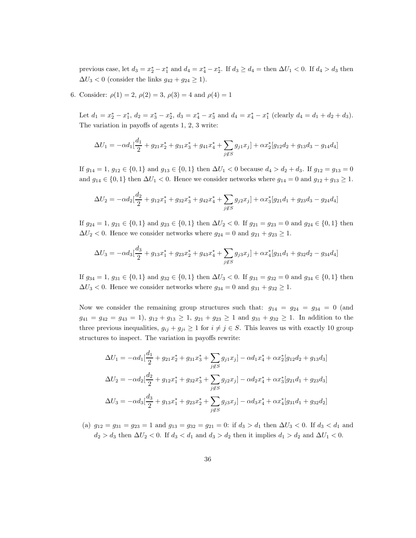previous case, let  $d_3 = x_2^* - x_1^*$  and  $d_4 = x_4^* - x_2^*$ . If  $d_3 \ge d_4 =$  then  $\Delta U_1 < 0$ . If  $d_4 > d_3$  then  $\Delta U_3 < 0$  (consider the links  $g_{42} + g_{24} \ge 1$ ).

6. Consider:  $\rho(1) = 2, \rho(2) = 3, \rho(3) = 4$  and  $\rho(4) = 1$ 

Let  $d_1 = x_2^* - x_1^*$ ,  $d_2 = x_3^* - x_2^*$ ,  $d_3 = x_4^* - x_3^*$  and  $d_4 = x_4^* - x_1^*$  (clearly  $d_4 = d_1 + d_2 + d_3$ ). The variation in payoffs of agents 1, 2, 3 write:

$$
\Delta U_1 = -\alpha d_1 \left[ \frac{d_1}{2} + g_{21} x_2^* + g_{31} x_3^* + g_{41} x_4^* + \sum_{j \notin S} g_{j1} x_j \right] + \alpha x_2^* [g_{12} d_2 + g_{13} d_3 - g_{14} d_4]
$$

If  $g_{14} = 1$ ,  $g_{12} \in \{0, 1\}$  and  $g_{13} \in \{0, 1\}$  then  $\Delta U_1 < 0$  because  $d_4 > d_2 + d_3$ . If  $g_{12} = g_{13} = 0$ and  $g_{14} \in \{0, 1\}$  then  $\Delta U_1 < 0$ . Hence we consider networks where  $g_{14} = 0$  and  $g_{12} + g_{13} \ge 1$ .

$$
\Delta U_2 = -\alpha d_2 \left[\frac{d_2}{2} + g_{12}x_1^* + g_{32}x_3^* + g_{42}x_4^* + \sum_{j \notin S} g_{j2}x_j\right] + \alpha x_3^*[g_{21}d_1 + g_{23}d_3 - g_{24}d_4]
$$

If  $g_{24} = 1, g_{21} \in \{0, 1\}$  and  $g_{23} \in \{0, 1\}$  then  $\Delta U_2 < 0$ . If  $g_{21} = g_{23} = 0$  and  $g_{24} \in \{0, 1\}$  then  $\Delta U_2$  < 0. Hence we consider networks where  $g_{24} = 0$  and  $g_{21} + g_{23} \ge 1$ .

$$
\Delta U_3 = -\alpha d_3 \left[ \frac{d_3}{2} + g_{13} x_1^* + g_{23} x_2^* + g_{43} x_4^* + \sum_{j \notin S} g_{j3} x_j \right] + \alpha x_4^* [g_{31} d_1 + g_{32} d_2 - g_{34} d_4]
$$

If  $g_{34} = 1, g_{31} \in \{0, 1\}$  and  $g_{32} \in \{0, 1\}$  then  $\Delta U_3 < 0$ . If  $g_{31} = g_{32} = 0$  and  $g_{34} \in \{0, 1\}$  then  $\Delta U_3$  < 0. Hence we consider networks where  $g_{34} = 0$  and  $g_{31} + g_{32} \ge 1$ .

Now we consider the remaining group structures such that:  $g_{14} = g_{24} = g_{34} = 0$  (and  $g_{41} = g_{42} = g_{43} = 1$ ,  $g_{12} + g_{13} \ge 1$ ,  $g_{21} + g_{23} \ge 1$  and  $g_{31} + g_{32} \ge 1$ . In addition to the three previous inequalities,  $g_{ij} + g_{ji} \ge 1$  for  $i \ne j \in S$ . This leaves us with exactly 10 group structures to inspect. The variation in payoffs rewrite:

$$
\Delta U_1 = -\alpha d_1 \left[ \frac{d_1}{2} + g_{21} x_2^* + g_{31} x_3^* + \sum_{j \notin S} g_{j1} x_j \right] - \alpha d_1 x_4^* + \alpha x_2^* [g_{12} d_2 + g_{13} d_3]
$$
  
\n
$$
\Delta U_2 = -\alpha d_2 \left[ \frac{d_2}{2} + g_{12} x_1^* + g_{32} x_3^* + \sum_{j \notin S} g_{j2} x_j \right] - \alpha d_2 x_4^* + \alpha x_3^* [g_{21} d_1 + g_{23} d_3]
$$
  
\n
$$
\Delta U_3 = -\alpha d_3 \left[ \frac{d_3}{2} + g_{13} x_1^* + g_{23} x_2^* + \sum_{j \notin S} g_{j3} x_j \right] - \alpha d_3 x_4^* + \alpha x_4^* [g_{31} d_1 + g_{32} d_2]
$$

(a)  $g_{12} = g_{31} = g_{23} = 1$  and  $g_{13} = g_{32} = g_{21} = 0$ : if  $d_3 > d_1$  then  $\Delta U_3 < 0$ . If  $d_3 < d_1$  and  $d_2 > d_3$  then  $\Delta U_2 < 0$ . If  $d_3 < d_1$  and  $d_3 > d_2$  then it implies  $d_1 > d_2$  and  $\Delta U_1 < 0$ .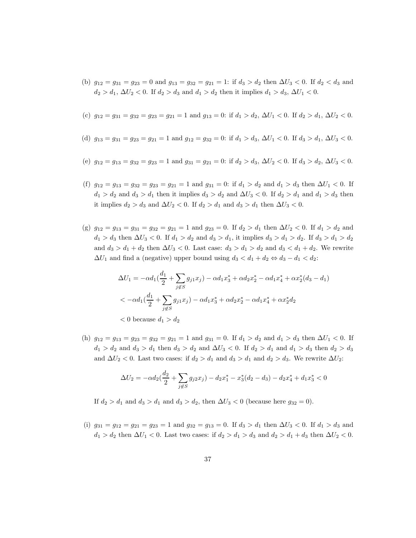(b)  $g_{12} = g_{31} = g_{23} = 0$  and  $g_{13} = g_{32} = g_{21} = 1$ : if  $d_3 > d_2$  then  $\Delta U_3 < 0$ . If  $d_2 < d_3$  and  $d_2 > d_1$ ,  $\Delta U_2 < 0$ . If  $d_2 > d_3$  and  $d_1 > d_2$  then it implies  $d_1 > d_3$ ,  $\Delta U_1 < 0$ .

(c) 
$$
g_{12} = g_{31} = g_{32} = g_{23} = g_{21} = 1
$$
 and  $g_{13} = 0$ : if  $d_1 > d_2$ ,  $\Delta U_1 < 0$ . If  $d_2 > d_1$ ,  $\Delta U_2 < 0$ .

- (d)  $g_{13} = g_{31} = g_{23} = g_{21} = 1$  and  $g_{12} = g_{32} = 0$ : if  $d_1 > d_3$ ,  $\Delta U_1 < 0$ . If  $d_3 > d_1$ ,  $\Delta U_3 < 0$ .
- (e)  $g_{12} = g_{13} = g_{32} = g_{23} = 1$  and  $g_{31} = g_{21} = 0$ : if  $d_2 > d_3$ ,  $\Delta U_2 < 0$ . If  $d_3 > d_2$ ,  $\Delta U_3 < 0$ .
- (f)  $g_{12} = g_{13} = g_{32} = g_{23} = g_{21} = 1$  and  $g_{31} = 0$ : if  $d_1 > d_2$  and  $d_1 > d_3$  then  $\Delta U_1 < 0$ . If  $d_1 > d_2$  and  $d_3 > d_1$  then it implies  $d_3 > d_2$  and  $\Delta U_3 < 0$ . If  $d_2 > d_1$  and  $d_1 > d_3$  then it implies  $d_2 > d_3$  and  $\Delta U_2 < 0$ . If  $d_2 > d_1$  and  $d_3 > d_1$  then  $\Delta U_3 < 0$ .
- (g)  $g_{12} = g_{13} = g_{31} = g_{32} = g_{21} = 1$  and  $g_{23} = 0$ . If  $d_2 > d_1$  then  $\Delta U_2 < 0$ . If  $d_1 > d_2$  and  $d_1 > d_3$  then  $\Delta U_3 < 0$ . If  $d_1 > d_2$  and  $d_3 > d_1$ , it implies  $d_3 > d_1 > d_2$ . If  $d_3 > d_1 > d_2$ and  $d_3 > d_1 + d_2$  then  $\Delta U_3 < 0$ . Last case:  $d_3 > d_1 > d_2$  and  $d_3 < d_1 + d_2$ . We rewrite  $\Delta U_1$  and find a (negative) upper bound using  $d_3 < d_1 + d_2 \Leftrightarrow d_3 - d_1 < d_2$ :

$$
\Delta U_1 = -\alpha d_1 \left(\frac{d_1}{2} + \sum_{j \notin S} g_{j1} x_j\right) - \alpha d_1 x_3^* + \alpha d_2 x_2^* - \alpha d_1 x_4^* + \alpha x_2^* (d_3 - d_1)
$$
  

$$
< -\alpha d_1 \left(\frac{d_1}{2} + \sum_{j \notin S} g_{j1} x_j\right) - \alpha d_1 x_3^* + \alpha d_2 x_2^* - \alpha d_1 x_4^* + \alpha x_2^* d_2
$$
  

$$
< 0 \text{ because } d_1 > d_2
$$

(h)  $g_{12} = g_{13} = g_{23} = g_{32} = g_{21} = 1$  and  $g_{31} = 0$ . If  $d_1 > d_2$  and  $d_1 > d_3$  then  $\Delta U_1 < 0$ . If  $d_1 > d_2$  and  $d_3 > d_1$  then  $d_3 > d_2$  and  $\Delta U_3 < 0$ . If  $d_2 > d_1$  and  $d_1 > d_3$  then  $d_2 > d_3$ and  $\Delta U_2$  < 0. Last two cases: if  $d_2 > d_1$  and  $d_3 > d_1$  and  $d_2 > d_3$ . We rewrite  $\Delta U_2$ :

$$
\Delta U_2 = -\alpha d_2 \left(\frac{d_2}{2} + \sum_{j \notin S} g_{j2} x_j\right) - d_2 x_1^* - x_3^* (d_2 - d_3) - d_2 x_4^* + d_1 x_3^* < 0
$$

If  $d_2 > d_1$  and  $d_3 > d_1$  and  $d_3 > d_2$ , then  $\Delta U_3 < 0$  (because here  $g_{32} = 0$ ).

(i)  $g_{31} = g_{12} = g_{21} = g_{23} = 1$  and  $g_{32} = g_{13} = 0$ . If  $d_3 > d_1$  then  $\Delta U_3 < 0$ . If  $d_1 > d_3$  and  $d_1 > d_2$  then  $\Delta U_1 < 0$ . Last two cases: if  $d_2 > d_1 > d_3$  and  $d_2 > d_1 + d_3$  then  $\Delta U_2 < 0$ .